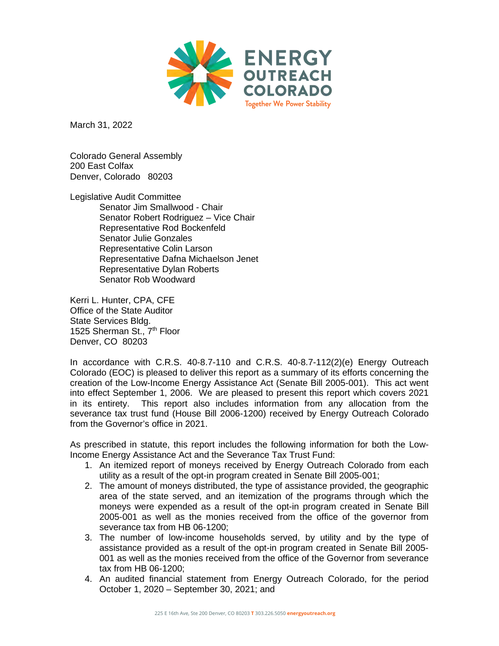

March 31, 2022

Colorado General Assembly 200 East Colfax Denver, Colorado 80203

Legislative Audit Committee Senator Jim Smallwood - Chair Senator Robert Rodriguez - Vice Chair Representative Rod Bockenfeld Senator Julie Gonzales Representative Colin Larson Representative Dafna Michaelson Jenet Representative Dylan Roberts Senator Rob Woodward

Kerri L. Hunter, CPA, CFE Office of the State Auditor State Services Bldg. 1525 Sherman St., 7<sup>th</sup> Floor Denver, CO 80203

In accordance with C.R.S. 40-8.7-110 and C.R.S. 40-8.7-112(2)(e) Energy Outreach Colorado (EOC) is pleased to deliver this report as a summary of its efforts concerning the creation of the Low-Income Energy Assistance Act (Senate Bill 2005-001). This act went into effect September 1, 2006. We are pleased to present this report which covers 2021 in its entirety. This report also includes information from any allocation from the severance tax trust fund (House Bill 2006-1200) received by Energy Outreach Colorado from the Governor's office in 2021.

As prescribed in statute, this report includes the following information for both the Low-Income Energy Assistance Act and the Severance Tax Trust Fund:

- 1. An itemized report of moneys received by Energy Outreach Colorado from each utility as a result of the opt-in program created in Senate Bill 2005-001;
- 2. The amount of moneys distributed, the type of assistance provided, the geographic area of the state served, and an itemization of the programs through which the moneys were expended as a result of the opt-in program created in Senate Bill 2005-001 as well as the monies received from the office of the governor from severance tax from HB 06-1200;
- 3. The number of low-income households served, by utility and by the type of assistance provided as a result of the opt-in program created in Senate Bill 2005- 001 as well as the monies received from the office of the Governor from severance tax from HB 06-1200;
- 4. An audited financial statement from Energy Outreach Colorado, for the period October 1, 2020 – September 30, 2021; and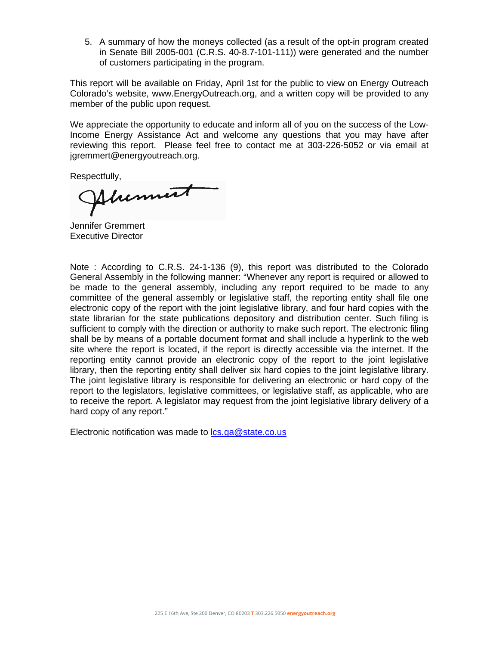5. A summary of how the moneys collected (as a result of the opt-in program created in Senate Bill 2005-001 (C.R.S. 40-8.7-101-111)) were generated and the number of customers participating in the program.

This report will be available on Friday, April 1st for the public to view on Energy Outreach Colorado's website, www.EnergyOutreach.org, and a written copy will be provided to any member of the public upon request.

We appreciate the opportunity to educate and inform all of you on the success of the Low-Income Energy Assistance Act and welcome any questions that you may have after reviewing this report. Please feel free to contact me at 303-226-5052 or via email at jgremmert@energyoutreach.org.

Respectfully,

Ahennut

Jennifer Gremmert Executive Director

Note : According to C.R.S. 24-1-136 (9), this report was distributed to the Colorado General Assembly in the following manner: "Whenever any report is required or allowed to be made to the general assembly, including any report required to be made to any committee of the general assembly or legislative staff, the reporting entity shall file one electronic copy of the report with the joint legislative library, and four hard copies with the state librarian for the state publications depository and distribution center. Such filing is sufficient to comply with the direction or authority to make such report. The electronic filing shall be by means of a portable document format and shall include a hyperlink to the web site where the report is located, if the report is directly accessible via the internet. If the reporting entity cannot provide an electronic copy of the report to the joint legislative library, then the reporting entity shall deliver six hard copies to the joint legislative library. The joint legislative library is responsible for delivering an electronic or hard copy of the report to the legislators, legislative committees, or legislative staff, as applicable, who are to receive the report. A legislator may request from the joint legislative library delivery of a hard copy of any report."

Electronic notification was made to  $lcs.ga@state.co.us$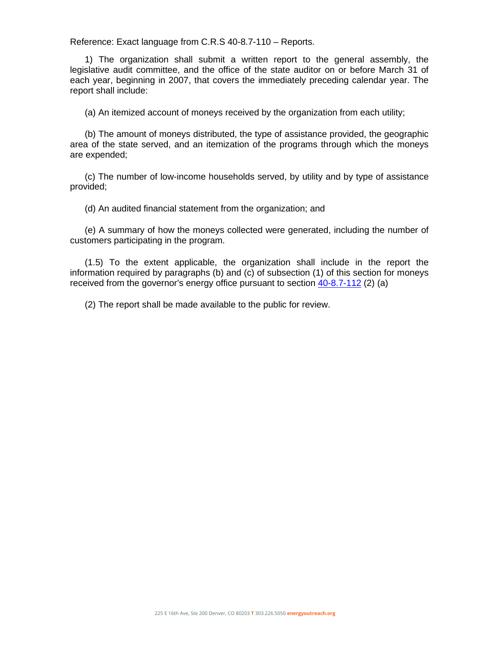Reference: Exact language from C.R.S 40-8.7-110 – Reports.

1) The organization shall submit a written report to the general assembly, the legislative audit committee, and the office of the state auditor on or before March 31 of each year, beginning in 2007, that covers the immediately preceding calendar year. The report shall include:

(a) An itemized account of moneys received by the organization from each utility;

(b) The amount of moneys distributed, the type of assistance provided, the geographic area of the state served, and an itemization of the programs through which the moneys are expended;

(c) The number of low-income households served, by utility and by type of assistance provided;

(d) An audited financial statement from the organization; and

(e) A summary of how the moneys collected were generated, including the number of customers participating in the program.

(1.5) To the extent applicable, the organization shall include in the report the information required by paragraphs (b) and (c) of subsection (1) of this section for moneys received from the governor's energy office pursuant to section [40-8.7-112](http://www.michie.com/colorado/lpext.dll?f=FifLink&t=document-frame.htm&l=jump&iid=COCODE&d=40-8.7-112&sid=358b0050.ec0678e.0.0#JD_40-87-112) (2) (a)

(2) The report shall be made available to the public for review.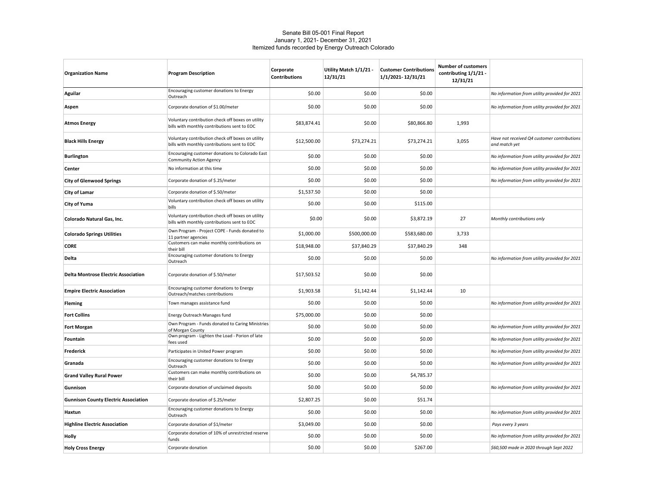#### Senate Bill 05-001 Final Report January 1, 2021- December 31, 2021 Itemized funds recorded by Energy Outreach Colorado

| <b>Organization Name</b>                    | <b>Program Description</b>                                                                        | Corporate<br><b>Contributions</b> | Utility Match 1/1/21 -<br>12/31/21 | <b>Customer Contributions</b><br>1/1/2021-12/31/21 | <b>Number of customers</b><br>contributing 1/1/21 -<br>12/31/21 |                                                              |
|---------------------------------------------|---------------------------------------------------------------------------------------------------|-----------------------------------|------------------------------------|----------------------------------------------------|-----------------------------------------------------------------|--------------------------------------------------------------|
| Aguilar                                     | Encouraging customer donations to Energy<br>Outreach                                              | \$0.00                            | \$0.00                             | \$0.00                                             |                                                                 | No information from utility provided for 2021                |
| Aspen                                       | Corporate donation of \$1.00/meter                                                                | \$0.00                            | \$0.00                             | \$0.00                                             |                                                                 | No information from utility provided for 2021                |
| <b>Atmos Energy</b>                         | Voluntary contribution check off boxes on utility<br>bills with monthly contributions sent to EOC | \$83,874.41                       | \$0.00                             | \$80,866.80                                        | 1,993                                                           |                                                              |
| <b>Black Hills Energy</b>                   | Voluntary contribution check off boxes on utility<br>bills with monthly contributions sent to EOC | \$12,500.00                       | \$73,274.21                        | \$73,274.21                                        | 3,055                                                           | Have not received Q4 customer contributions<br>and match yet |
| <b>Burlington</b>                           | Encouraging customer donations to Colorado East<br><b>Community Action Agency</b>                 | \$0.00                            | \$0.00                             | \$0.00                                             |                                                                 | No information from utility provided for 2021                |
| Center                                      | No information at this time                                                                       | \$0.00                            | \$0.00                             | \$0.00                                             |                                                                 | No information from utility provided for 2021                |
| <b>City of Glenwood Springs</b>             | Corporate donation of \$.25/meter                                                                 | \$0.00                            | \$0.00                             | \$0.00                                             |                                                                 | No information from utility provided for 2021                |
| City of Lamar                               | Corporate donation of \$.50/meter                                                                 | \$1,537.50                        | \$0.00                             | \$0.00                                             |                                                                 |                                                              |
| City of Yuma                                | Voluntary contribution check off boxes on utility<br>bills                                        | \$0.00                            | \$0.00                             | \$115.00                                           |                                                                 |                                                              |
| Colorado Natural Gas, Inc.                  | Voluntary contribution check off boxes on utility<br>bills with monthly contributions sent to EOC | \$0.00                            | \$0.00                             | \$3,872.19                                         | 27                                                              | Monthly contributions only                                   |
| <b>Colorado Springs Utilities</b>           | Own Program - Project COPE - Funds donated to<br>11 partner agencies                              | \$1,000.00                        | \$500,000.00                       | \$583,680.00                                       | 3,733                                                           |                                                              |
| <b>CORE</b>                                 | Customers can make monthly contributions on<br>their bill                                         | \$18,948.00                       | \$37,840.29                        | \$37,840.29                                        | 348                                                             |                                                              |
| Delta                                       | Encouraging customer donations to Energy<br>Outreach                                              | \$0.00                            | \$0.00                             | \$0.00                                             |                                                                 | No information from utility provided for 2021                |
| <b>Delta Montrose Electric Association</b>  | Corporate donation of \$.50/meter                                                                 | \$17,503.52                       | \$0.00                             | \$0.00                                             |                                                                 |                                                              |
| <b>Empire Electric Association</b>          | Encouraging customer donations to Energy<br>Outreach/matches contributions                        | \$1,903.58                        | \$1,142.44                         | \$1,142.44                                         | 10                                                              |                                                              |
| <b>Fleming</b>                              | Town manages assistance fund                                                                      | \$0.00                            | \$0.00                             | \$0.00                                             |                                                                 | No information from utility provided for 2021                |
| <b>Fort Collins</b>                         | Energy Outreach Manages fund                                                                      | \$75,000.00                       | \$0.00                             | \$0.00                                             |                                                                 |                                                              |
| <b>Fort Morgan</b>                          | Own Program - Funds donated to Caring Ministries<br>of Morgan County                              | \$0.00                            | \$0.00                             | \$0.00                                             |                                                                 | No information from utility provided for 2021                |
| Fountain                                    | Own program - Lighten the Load - Porion of late<br>fees used                                      | \$0.00                            | \$0.00                             | \$0.00                                             |                                                                 | No information from utility provided for 2021                |
| <b>Frederick</b>                            | Participates in United Power program                                                              | \$0.00                            | \$0.00                             | \$0.00                                             |                                                                 | No information from utility provided for 2021                |
| Granada                                     | Encouraging customer donations to Energy<br>Outreach                                              | \$0.00                            | \$0.00                             | \$0.00                                             |                                                                 | No information from utility provided for 2021                |
| <b>Grand Valley Rural Power</b>             | Customers can make monthly contributions on<br>their bill                                         | \$0.00                            | \$0.00                             | \$4,785.37                                         |                                                                 |                                                              |
| Gunnison                                    | Corporate donation of unclaimed deposits                                                          | \$0.00                            | \$0.00                             | \$0.00                                             |                                                                 | No information from utility provided for 2021                |
| <b>Gunnison County Electric Association</b> | Corporate donation of \$.25/meter                                                                 | \$2,807.25                        | \$0.00                             | \$51.74                                            |                                                                 |                                                              |
| Haxtun                                      | Encouraging customer donations to Energy<br>Outreach                                              | \$0.00                            | \$0.00                             | \$0.00                                             |                                                                 | No information from utility provided for 2021                |
| <b>Highline Electric Association</b>        | Corporate donation of \$1/meter                                                                   | \$3,049.00                        | \$0.00                             | \$0.00                                             |                                                                 | Pays every 3 years                                           |
| Holly                                       | Corporate donation of 10% of unrestricted reserve<br>funds                                        | \$0.00                            | \$0.00                             | \$0.00                                             |                                                                 | No information from utility provided for 2021                |
| <b>Holy Cross Energy</b>                    | Corporate donation                                                                                | \$0.00                            | \$0.00                             | \$267.00                                           |                                                                 | \$60,500 made in 2020 through Sept 2022                      |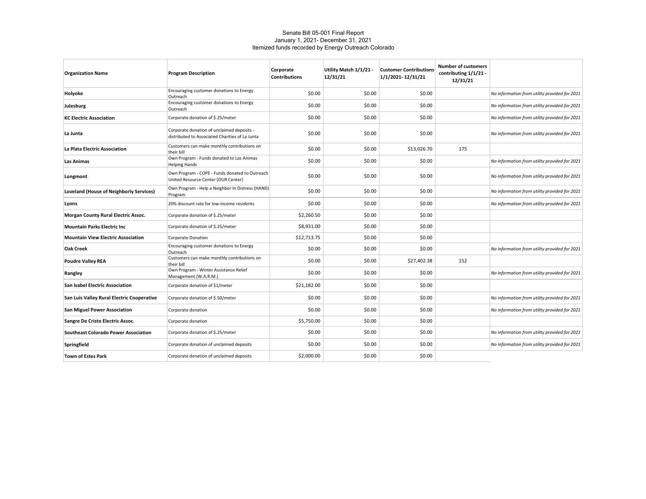#### Senate Bill 05-001 Final Report January 1, 2021- December 31, 2021 Itemized funds recorded by Energy Outreach Colorado

| <b>Organization Name</b>                       | <b>Program Description</b>                                                                    | Corporate<br><b>Contributions</b> | Utility Match 1/1/21 -<br>12/31/21 | <b>Customer Contributions</b><br>1/1/2021-12/31/21 | <b>Number of customers</b><br>contributing 1/1/21 -<br>12/31/21 |                                               |
|------------------------------------------------|-----------------------------------------------------------------------------------------------|-----------------------------------|------------------------------------|----------------------------------------------------|-----------------------------------------------------------------|-----------------------------------------------|
| Holyoke                                        | Encouraging customer donations to Energy<br>Outreach                                          | \$0.00                            | \$0.00                             | \$0.00                                             |                                                                 | No information from utility provided for 2021 |
| Julesburg                                      | Encouraging customer donations to Energy<br>Outreach                                          | \$0.00                            | \$0.00                             | \$0.00                                             |                                                                 | No information from utility provided for 2021 |
| <b>KC Electric Association</b>                 | Corporate donation of \$.25/meter                                                             | \$0.00                            | \$0.00                             | \$0.00                                             |                                                                 | No information from utility provided for 2021 |
| La Junta                                       | Corporate donation of unclaimed deposits -<br>distributed to Associated Charities of La Junta | \$0.00                            | \$0.00                             | \$0.00                                             |                                                                 | No information from utility provided for 2021 |
| La Plata Electric Association                  | Customers can make monthly contributions on<br>their bill                                     | \$0.00                            | \$0.00                             | \$13,026.70                                        | 175                                                             |                                               |
| <b>Las Animas</b>                              | Own Program - Funds donated to Las Animas<br><b>Helping Hands</b>                             | \$0.00                            | \$0.00                             | \$0.00                                             |                                                                 | No information from utility provided for 2021 |
| Longmont                                       | Own Program - COPE - Funds donated to Outreach<br>United Resource Center (OUR Center)         | \$0.00                            | \$0.00                             | \$0.00                                             |                                                                 | No information from utility provided for 2021 |
| <b>Loveland (House of Neighborly Services)</b> | Own Program - Help a Neighbor In Distress (HAND)<br>Program                                   | \$0.00                            | \$0.00                             | \$0.00                                             |                                                                 | No information from utility provided for 2021 |
| Lyons                                          | 20% discount rate for low-income residents                                                    | \$0.00                            | \$0.00                             | \$0.00                                             |                                                                 | No information from utility provided for 2021 |
| <b>Morgan County Rural Electric Assoc.</b>     | Corporate donation of \$.25/meter                                                             | \$2,260.50                        | \$0.00                             | \$0.00                                             |                                                                 |                                               |
| <b>Mountain Parks Electric Inc</b>             | Corporate donation of \$.25/meter                                                             | \$8,931.00                        | \$0.00                             | \$0.00                                             |                                                                 |                                               |
| <b>Mountain View Electric Association</b>      | Corporate Donation                                                                            | \$12,713.75                       | \$0.00                             | \$0.00                                             |                                                                 |                                               |
| Oak Creek                                      | Encouraging customer donations to Energy<br>Outreach                                          | \$0.00                            | \$0.00                             | \$0.00                                             |                                                                 | No information from utility provided for 2021 |
| <b>Poudre Valley REA</b>                       | Customers can make monthly contributions on<br>their bill                                     | \$0.00                            | \$0.00                             | \$27,402.38                                        | 152                                                             |                                               |
| Rangley                                        | Own Program - Winter Assistance Relief<br>Management (W.A.R.M.)                               | \$0.00                            | \$0.00                             | \$0.00                                             |                                                                 | No information from utility provided for 2021 |
| <b>San Isabel Electric Association</b>         | Corporate donation of \$1/meter                                                               | \$21,182.00                       | \$0.00                             | \$0.00                                             |                                                                 |                                               |
| San Luis Valley Rural Electric Cooperative     | Corporate donation of \$.50/meter                                                             | \$0.00                            | \$0.00                             | \$0.00                                             |                                                                 | No information from utility provided for 2021 |
| <b>San Miguel Power Association</b>            | Corporate donation                                                                            | \$0.00                            | \$0.00                             | \$0.00                                             |                                                                 | No information from utility provided for 2021 |
| Sangre De Cristo Electric Assoc.               | Corporate donation                                                                            | \$5,750.00                        | \$0.00                             | \$0.00                                             |                                                                 |                                               |
| <b>Southeast Colorado Power Association</b>    | Corporate donation of \$.25/meter                                                             | \$0.00                            | \$0.00                             | \$0.00                                             |                                                                 | No information from utility provided for 2021 |
| Springfield                                    | Corporate donation of unclaimed deposits                                                      | \$0.00                            | \$0.00                             | \$0.00                                             |                                                                 | No information from utility provided for 2021 |
| <b>Town of Estes Park</b>                      | Corporate donation of unclaimed deposits                                                      | \$2,000.00                        | \$0.00                             | \$0.00                                             |                                                                 |                                               |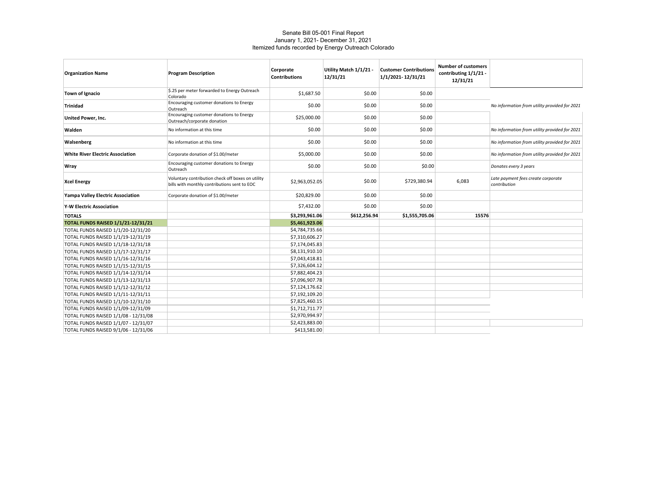#### Senate Bill 05-001 Final Report January 1, 2021- December 31, 2021 Itemized funds recorded by Energy Outreach Colorado

| <b>Organization Name</b>                                                 | <b>Program Description</b>                                                                        | Corporate<br><b>Contributions</b> | Utility Match 1/1/21 -<br>12/31/21 | <b>Customer Contributions</b><br>1/1/2021-12/31/21 | <b>Number of customers</b><br>contributing 1/1/21 -<br>12/31/21 |                                                    |
|--------------------------------------------------------------------------|---------------------------------------------------------------------------------------------------|-----------------------------------|------------------------------------|----------------------------------------------------|-----------------------------------------------------------------|----------------------------------------------------|
| Town of Ignacio                                                          | \$.25 per meter forwarded to Energy Outreach<br>Colorado                                          | \$1,687.50                        | \$0.00                             | \$0.00                                             |                                                                 |                                                    |
| <b>Trinidad</b>                                                          | Encouraging customer donations to Energy<br>Outreach                                              | \$0.00                            | \$0.00                             | \$0.00                                             |                                                                 | No information from utility provided for 2021      |
| United Power, Inc.                                                       | Encouraging customer donations to Energy<br>Outreach/corporate donation                           | \$25,000.00                       | \$0.00                             | \$0.00                                             |                                                                 |                                                    |
| Walden                                                                   | No information at this time                                                                       | \$0.00                            | \$0.00                             | \$0.00                                             |                                                                 | No information from utility provided for 2021      |
| Walsenberg                                                               | No information at this time                                                                       | \$0.00                            | \$0.00                             | \$0.00                                             |                                                                 | No information from utility provided for 2021      |
| <b>White River Electric Association</b>                                  | Corporate donation of \$1.00/meter                                                                | \$5,000.00                        | \$0.00                             | \$0.00                                             |                                                                 | No information from utility provided for 2021      |
| Wray                                                                     | Encouraging customer donations to Energy<br>Outreach                                              | \$0.00                            | \$0.00                             | \$0.00                                             |                                                                 | Donates every 3 years                              |
| <b>Xcel Energy</b>                                                       | Voluntary contribution check off boxes on utility<br>bills with monthly contributions sent to EOC | \$2,963,052.05                    | \$0.00                             | \$729,380.94                                       | 6,083                                                           | Late payment fees create corporate<br>contribution |
| Yampa Valley Electric Association                                        | Corporate donation of \$1.00/meter                                                                | \$20,829.00                       | \$0.00                             | \$0.00                                             |                                                                 |                                                    |
| <b>Y-W Electric Association</b>                                          |                                                                                                   | \$7,432.00                        | \$0.00                             | \$0.00                                             |                                                                 |                                                    |
| <b>TOTALS</b>                                                            |                                                                                                   | \$3,293,961.06                    | \$612,256.94                       | \$1,555,705.06                                     | 15576                                                           |                                                    |
| <b>TOTAL FUNDS RAISED 1/1/21-12/31/21</b>                                |                                                                                                   | \$5,461,923.06                    |                                    |                                                    |                                                                 |                                                    |
| TOTAL FUNDS RAISED 1/1/20-12/31/20                                       |                                                                                                   | \$4,784,735.66                    |                                    |                                                    |                                                                 |                                                    |
| TOTAL FUNDS RAISED 1/1/19-12/31/19                                       |                                                                                                   | \$7,310,606.27                    |                                    |                                                    |                                                                 |                                                    |
| TOTAL FUNDS RAISED 1/1/18-12/31/18                                       |                                                                                                   | \$7,174,045.83                    |                                    |                                                    |                                                                 |                                                    |
| TOTAL FUNDS RAISED 1/1/17-12/31/17                                       |                                                                                                   | \$8,131,910.10                    |                                    |                                                    |                                                                 |                                                    |
| TOTAL FUNDS RAISED 1/1/16-12/31/16                                       |                                                                                                   | \$7,043,418.81                    |                                    |                                                    |                                                                 |                                                    |
| TOTAL FUNDS RAISED 1/1/15-12/31/15                                       |                                                                                                   | \$7,326,604.12                    |                                    |                                                    |                                                                 |                                                    |
| TOTAL FUNDS RAISED 1/1/14-12/31/14                                       |                                                                                                   | \$7,882,404.23                    |                                    |                                                    |                                                                 |                                                    |
| TOTAL FUNDS RAISED 1/1/13-12/31/13                                       |                                                                                                   | \$7,096,907.78                    |                                    |                                                    |                                                                 |                                                    |
| TOTAL FUNDS RAISED 1/1/12-12/31/12                                       |                                                                                                   | \$7,124,176.62                    |                                    |                                                    |                                                                 |                                                    |
| TOTAL FUNDS RAISED 1/1/11-12/31/11                                       |                                                                                                   | \$7,192,109.20<br>\$7,825,460.15  |                                    |                                                    |                                                                 |                                                    |
| TOTAL FUNDS RAISED 1/1/10-12/31/10<br>TOTAL FUNDS RAISED 1/1/09-12/31/09 |                                                                                                   | \$1,712,711.77                    |                                    |                                                    |                                                                 |                                                    |
| TOTAL FUNDS RAISED 1/1/08 - 12/31/08                                     |                                                                                                   | \$2,970,994.97                    |                                    |                                                    |                                                                 |                                                    |
| TOTAL FUNDS RAISED 1/1/07 - 12/31/07                                     |                                                                                                   | \$2,423,883.00                    |                                    |                                                    |                                                                 |                                                    |
| TOTAL FUNDS RAISED 9/1/06 - 12/31/06                                     |                                                                                                   | \$413,581.00                      |                                    |                                                    |                                                                 |                                                    |
|                                                                          |                                                                                                   |                                   |                                    |                                                    |                                                                 |                                                    |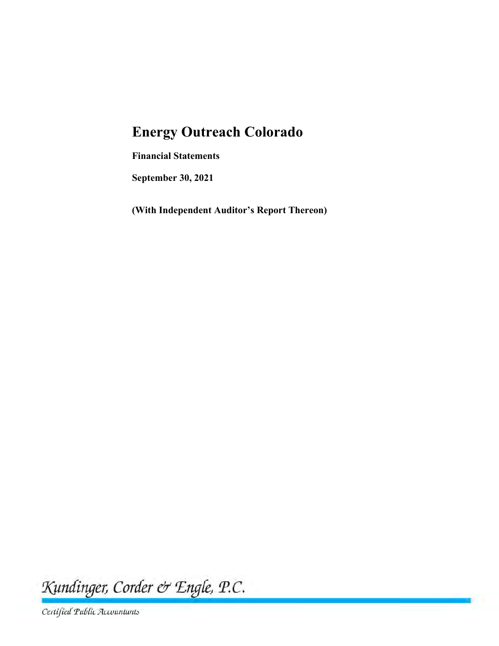# **Energy Outreach Colorado**

**Financial Statements** 

**September 30, 2021** 

**(With Independent Auditor's Report Thereon)** 

Kundinger, Corder & Engle, P.C.

Certified Public Accountants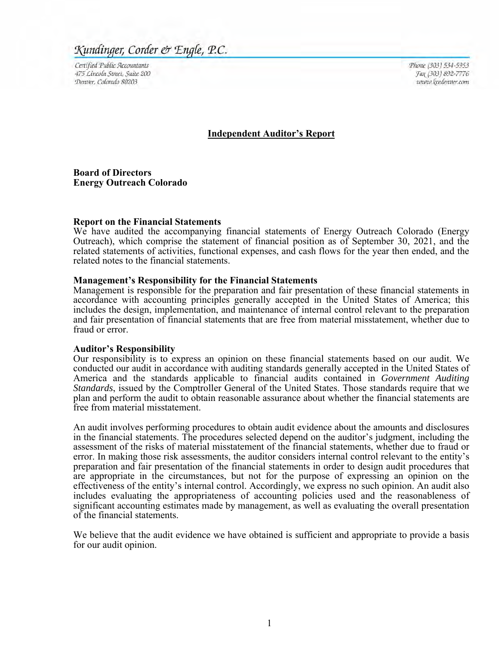## Kundinger, Corder & Engle, P.C.

Certified Public Accountants 475 Lincoln Street, Suite 200 Denver, Colorado 80203

Phone (303) 534-5953 Fax (303) 892-7776 www.keedenver.com

#### **Independent Auditor's Report**

**Board of Directors Energy Outreach Colorado** 

#### **Report on the Financial Statements**

We have audited the accompanying financial statements of Energy Outreach Colorado (Energy Outreach), which comprise the statement of financial position as of September 30, 2021, and the related statements of activities, functional expenses, and cash flows for the year then ended, and the related notes to the financial statements.

#### **Management's Responsibility for the Financial Statements**

Management is responsible for the preparation and fair presentation of these financial statements in accordance with accounting principles generally accepted in the United States of America; this includes the design, implementation, and maintenance of internal control relevant to the preparation and fair presentation of financial statements that are free from material misstatement, whether due to fraud or error.

#### **Auditor's Responsibility**

Our responsibility is to express an opinion on these financial statements based on our audit. We conducted our audit in accordance with auditing standards generally accepted in the United States of America and the standards applicable to financial audits contained in *Government Auditing Standards*, issued by the Comptroller General of the United States. Those standards require that we plan and perform the audit to obtain reasonable assurance about whether the financial statements are free from material misstatement.

An audit involves performing procedures to obtain audit evidence about the amounts and disclosures in the financial statements. The procedures selected depend on the auditor's judgment, including the assessment of the risks of material misstatement of the financial statements, whether due to fraud or error. In making those risk assessments, the auditor considers internal control relevant to the entity's preparation and fair presentation of the financial statements in order to design audit procedures that are appropriate in the circumstances, but not for the purpose of expressing an opinion on the effectiveness of the entity's internal control. Accordingly, we express no such opinion. An audit also includes evaluating the appropriateness of accounting policies used and the reasonableness of significant accounting estimates made by management, as well as evaluating the overall presentation of the financial statements.

We believe that the audit evidence we have obtained is sufficient and appropriate to provide a basis for our audit opinion.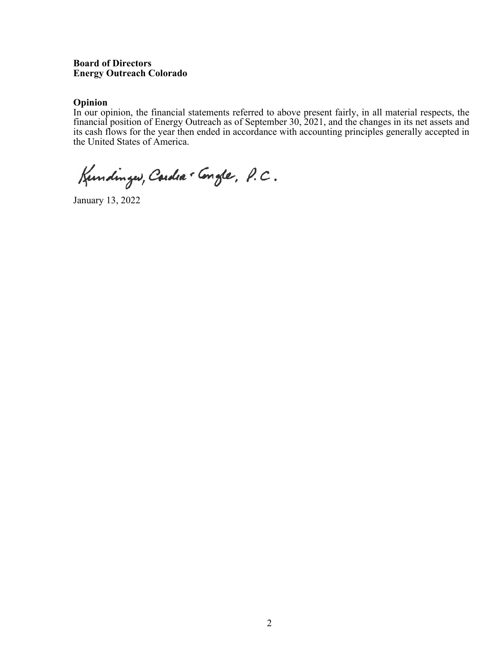#### **Board of Directors Energy Outreach Colorado**

#### **Opinion**

In our opinion, the financial statements referred to above present fairly, in all material respects, the financial position of Energy Outreach as of September 30, 2021, and the changes in its net assets and its cash flows for the year then ended in accordance with accounting principles generally accepted in the United States of America.

Kundinger, Cardia . Congle, P.C.

January 13, 2022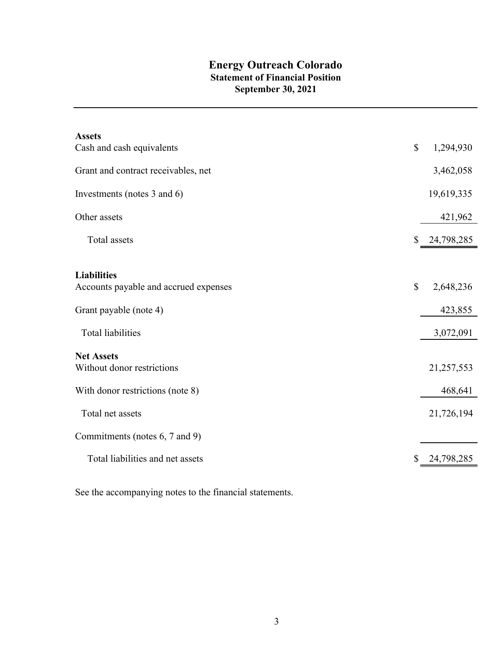## **Energy Outreach Colorado Statement of Financial Position September 30, 2021**

| <b>Assets</b>                                   |                           |            |
|-------------------------------------------------|---------------------------|------------|
| Cash and cash equivalents                       | $\boldsymbol{\mathsf{S}}$ | 1,294,930  |
| Grant and contract receivables, net             |                           | 3,462,058  |
| Investments (notes 3 and 6)                     |                           | 19,619,335 |
| Other assets                                    |                           | 421,962    |
| Total assets                                    | \$                        | 24,798,285 |
|                                                 |                           |            |
| <b>Liabilities</b>                              |                           |            |
| Accounts payable and accrued expenses           | $\mathbb{S}$              | 2,648,236  |
| Grant payable (note 4)                          |                           | 423,855    |
| <b>Total liabilities</b>                        |                           | 3,072,091  |
|                                                 |                           |            |
| <b>Net Assets</b><br>Without donor restrictions |                           | 21,257,553 |
| With donor restrictions (note 8)                |                           | 468,641    |
| Total net assets                                |                           | 21,726,194 |
| Commitments (notes 6, 7 and 9)                  |                           |            |
| Total liabilities and net assets                |                           | 24,798,285 |
|                                                 |                           |            |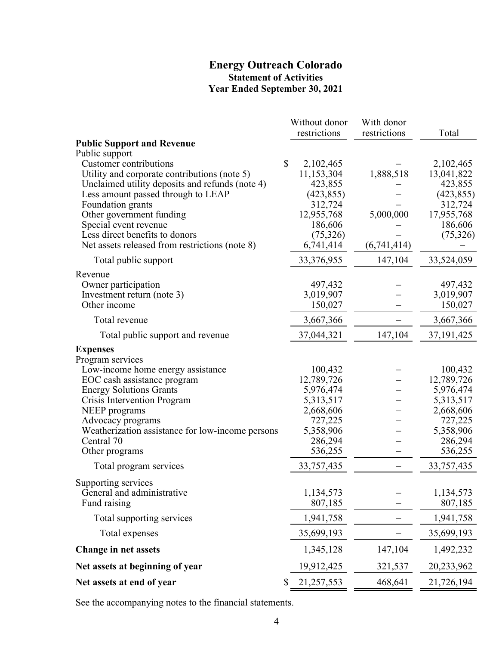## **Energy Outreach Colorado Statement of Activities Year Ended September 30, 2021**

|                                                                                                                                                                                                                                                                                                                                                        | Without donor<br>restrictions                                                                                            | With donor<br>restrictions            | Total                                                                                                                    |
|--------------------------------------------------------------------------------------------------------------------------------------------------------------------------------------------------------------------------------------------------------------------------------------------------------------------------------------------------------|--------------------------------------------------------------------------------------------------------------------------|---------------------------------------|--------------------------------------------------------------------------------------------------------------------------|
| <b>Public Support and Revenue</b>                                                                                                                                                                                                                                                                                                                      |                                                                                                                          |                                       |                                                                                                                          |
| Public support<br><b>Customer contributions</b><br>Utility and corporate contributions (note 5)<br>Unclaimed utility deposits and refunds (note 4)<br>Less amount passed through to LEAP<br>Foundation grants<br>Other government funding<br>Special event revenue<br>Less direct benefits to donors<br>Net assets released from restrictions (note 8) | \$<br>2,102,465<br>11,153,304<br>423,855<br>(423, 855)<br>312,724<br>12,955,768<br>186,606<br>(75, 326)<br>6,741,414     | 1,888,518<br>5,000,000<br>(6,741,414) | 2,102,465<br>13,041,822<br>423,855<br>(423, 855)<br>312,724<br>17,955,768<br>186,606<br>(75,326)                         |
| Total public support                                                                                                                                                                                                                                                                                                                                   | 33,376,955                                                                                                               | 147,104                               | 33,524,059                                                                                                               |
| Revenue<br>Owner participation<br>Investment return (note 3)<br>Other income                                                                                                                                                                                                                                                                           | 497,432<br>3,019,907<br>150,027                                                                                          |                                       | 497,432<br>3,019,907<br>150,027                                                                                          |
| Total revenue                                                                                                                                                                                                                                                                                                                                          | 3,667,366                                                                                                                |                                       | 3,667,366                                                                                                                |
| Total public support and revenue                                                                                                                                                                                                                                                                                                                       | 37,044,321                                                                                                               | 147,104                               | 37, 191, 425                                                                                                             |
| <b>Expenses</b><br>Program services<br>Low-income home energy assistance<br>EOC cash assistance program<br><b>Energy Solutions Grants</b><br>Crisis Intervention Program<br>NEEP programs<br>Advocacy programs<br>Weatherization assistance for low-income persons<br>Central 70<br>Other programs<br>Total program services                           | 100,432<br>12,789,726<br>5,976,474<br>5,313,517<br>2,668,606<br>727,225<br>5,358,906<br>286,294<br>536,255<br>33,757,435 |                                       | 100,432<br>12,789,726<br>5,976,474<br>5,313,517<br>2,668,606<br>727,225<br>5,358,906<br>286,294<br>536,255<br>33,757,435 |
| Supporting services<br>General and administrative<br>Fund raising                                                                                                                                                                                                                                                                                      | 1,134,573<br>807,185                                                                                                     |                                       | 1,134,573<br>807,185                                                                                                     |
| Total supporting services                                                                                                                                                                                                                                                                                                                              | 1,941,758                                                                                                                |                                       | 1,941,758                                                                                                                |
| Total expenses                                                                                                                                                                                                                                                                                                                                         | 35,699,193                                                                                                               |                                       | 35,699,193                                                                                                               |
| <b>Change in net assets</b>                                                                                                                                                                                                                                                                                                                            | 1,345,128                                                                                                                | 147,104                               | 1,492,232                                                                                                                |
| Net assets at beginning of year                                                                                                                                                                                                                                                                                                                        | 19,912,425                                                                                                               | 321,537                               | 20,233,962                                                                                                               |
| Net assets at end of year                                                                                                                                                                                                                                                                                                                              | 21,257,553<br>\$                                                                                                         | 468,641                               | 21,726,194                                                                                                               |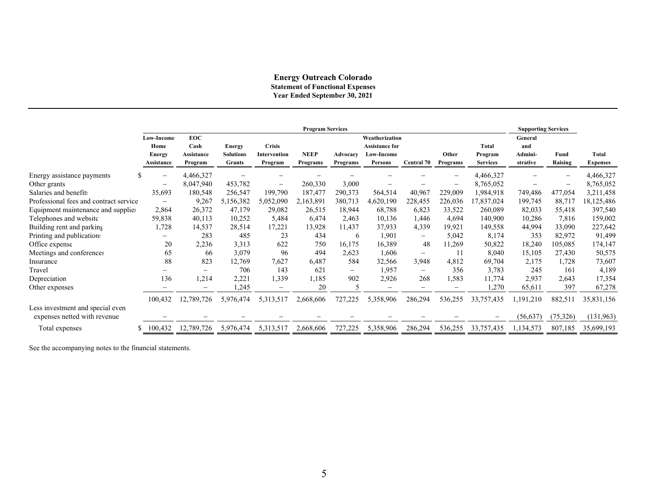#### **Energy Outreach Colorado Statement of Functional Expenses Year Ended September 30, 2021**

|                                                                  | <b>Program Services</b><br><b>Supporting Services</b> |                   |                  |                          |             |                          |                       |                   |                          |                 |           |                   |                 |
|------------------------------------------------------------------|-------------------------------------------------------|-------------------|------------------|--------------------------|-------------|--------------------------|-----------------------|-------------------|--------------------------|-----------------|-----------|-------------------|-----------------|
|                                                                  | <b>Low-Income</b>                                     | <b>EOC</b>        |                  |                          |             |                          | Weatherization        |                   |                          |                 | General   |                   |                 |
|                                                                  | Home                                                  | Cash              | <b>Energy</b>    | <b>Crisis</b>            |             |                          | <b>Assistance for</b> |                   |                          | <b>Total</b>    | and       |                   |                 |
|                                                                  | <b>Energy</b>                                         | Assistance        | <b>Solutions</b> | <b>Intervention</b>      | <b>NEEP</b> | Advocacy                 | Low-Income            |                   | Other                    | Program         | Admini-   | Fund              | Total           |
|                                                                  | <b>Assistance</b>                                     | Program           | <b>Grants</b>    | Program                  | Programs    | Programs                 | <b>Persons</b>        | <b>Central 70</b> | Programs                 | <b>Services</b> | strative  | Raising           | <b>Expenses</b> |
| Energy assistance payments                                       | $\qquad \qquad -$                                     | 4,466,327         |                  |                          |             |                          |                       |                   | —                        | 4,466,327       |           | $\qquad \qquad -$ | 4,466,327       |
| Other grants                                                     | $\overline{\phantom{a}}$                              | 8,047,940         | 453,782          | $\overline{\phantom{0}}$ | 260,330     | 3,000                    |                       |                   | -                        | 8,765,052       |           | $\qquad \qquad -$ | 8,765,052       |
| Salaries and benefits                                            | 35,693                                                | 180,548           | 256,547          | 199,790                  | 187,477     | 290,373                  | 564,514               | 40,967            | 229,009                  | 1,984,918       | 749,486   | 477,054           | 3,211,458       |
| Professional fees and contract service                           | $\qquad \qquad$                                       | 9,267             | 5,156,382        | 5,052,090                | 2,163,891   | 380,713                  | 4,620,190             | 228,455           | 226,036                  | 17,837,024      | 199,745   | 88,717            | 18,125,486      |
| Equipment maintenance and supplies                               | 2,864                                                 | 26,372            | 47,179           | 29,082                   | 26,515      | 18,944                   | 68,788                | 6,823             | 33,522                   | 260,089         | 82,033    | 55,418            | 397,540         |
| Telephones and website                                           | 59,838                                                | 40,113            | 10,252           | 5,484                    | 6,474       | 2,463                    | 10,136                | 1,446             | 4,694                    | 140,900         | 10,286    | 7,816             | 159,002         |
| Building rent and parking                                        | 1,728                                                 | 14,537            | 28,514           | 17,221                   | 13,928      | 11,437                   | 37,933                | 4,339             | 19,921                   | 149,558         | 44,994    | 33,090            | 227,642         |
| Printing and publications                                        | $\overline{\phantom{0}}$                              | 283               | 485              | 23                       | 434         | 6                        | 1,901                 | -                 | 5,042                    | 8,174           | 353       | 82,972            | 91,499          |
| Office expense                                                   | 20                                                    | 2,236             | 3,313            | 622                      | 750         | 16,175                   | 16,389                | 48                | 11,269                   | 50,822          | 18,240    | 105,085           | 174,147         |
| Meetings and conferences                                         | 65                                                    | 66                | 3,079            | 96                       | 494         | 2,623                    | 1,606                 | $\qquad \qquad -$ | 11                       | 8,040           | 15,105    | 27,430            | 50,575          |
| Insurance                                                        | 88                                                    | 823               | 12,769           | 7,627                    | 6,487       | 584                      | 32,566                | 3,948             | 4,812                    | 69,704          | 2,175     | 1,728             | 73,607          |
| Travel                                                           | $\overline{\phantom{0}}$                              | $\qquad \qquad -$ | 706              | 143                      | 621         | $\overline{\phantom{0}}$ | 1,957                 | $\qquad \qquad -$ | 356                      | 3,783           | 245       | 161               | 4,189           |
| Depreciation                                                     | 136                                                   | 1,214             | 2,221            | 1,339                    | 1,185       | 902                      | 2,926                 | 268               | 1,583                    | 11,774          | 2,937     | 2,643             | 17,354          |
| Other expenses                                                   |                                                       | $\qquad \qquad -$ | 1,245            | $-$                      | 20          | $\sim$                   | $-$                   | —                 | $\overline{\phantom{0}}$ | 1,270           | 65,611    | 397               | 67,278          |
|                                                                  | 100,432                                               | 12,789,726        | 5,976,474        | 5,313,517                | 2,668,606   | 727,225                  | 5,358,906             | 286,294           | 536,255                  | 33,757,435      | 1,191,210 | 882,511           | 35,831,156      |
| Less investment and special even<br>expenses netted with revenue |                                                       |                   |                  |                          |             |                          |                       |                   |                          |                 | (56, 637) | (75, 326)         | (131,963)       |
| Total expenses                                                   | 100,432                                               | 12,789,726        | 5,976,474        | 5,313,517                | 2,668,606   | 727,225                  | 5,358,906             | 286,294           | 536,255                  | 33,757,435      | 1,134,573 | 807,185           | 35,699,193      |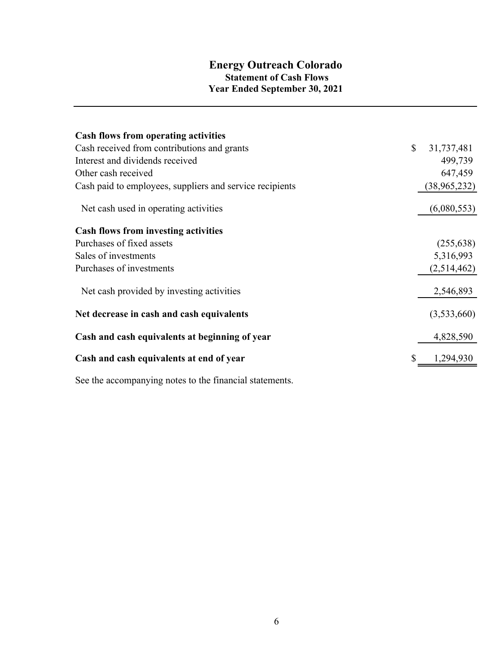## **Energy Outreach Colorado Statement of Cash Flows Year Ended September 30, 2021**

| <b>Cash flows from operating activities</b>              |              |              |
|----------------------------------------------------------|--------------|--------------|
| Cash received from contributions and grants              | $\mathbb{S}$ | 31,737,481   |
| Interest and dividends received                          |              | 499,739      |
| Other cash received                                      |              | 647,459      |
| Cash paid to employees, suppliers and service recipients |              | (38,965,232) |
| Net cash used in operating activities                    |              | (6,080,553)  |
| <b>Cash flows from investing activities</b>              |              |              |
| Purchases of fixed assets                                |              | (255, 638)   |
| Sales of investments                                     |              | 5,316,993    |
| Purchases of investments                                 |              | (2,514,462)  |
| Net cash provided by investing activities                |              | 2,546,893    |
| Net decrease in cash and cash equivalents                |              | (3,533,660)  |
| Cash and cash equivalents at beginning of year           |              | 4,828,590    |
| Cash and cash equivalents at end of year                 |              | 1,294,930    |
|                                                          |              |              |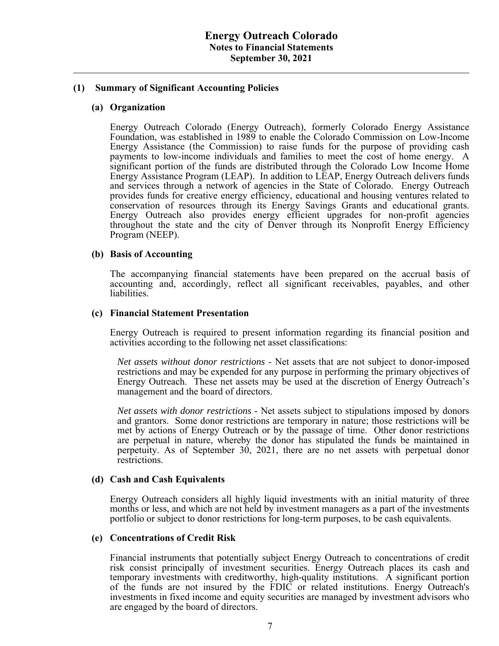#### **(1) Summary of Significant Accounting Policies**

#### **(a) Organization**

Energy Outreach Colorado (Energy Outreach), formerly Colorado Energy Assistance Foundation, was established in 1989 to enable the Colorado Commission on Low-Income Energy Assistance (the Commission) to raise funds for the purpose of providing cash payments to low-income individuals and families to meet the cost of home energy. A significant portion of the funds are distributed through the Colorado Low Income Home Energy Assistance Program (LEAP). In addition to LEAP, Energy Outreach delivers funds and services through a network of agencies in the State of Colorado. Energy Outreach provides funds for creative energy efficiency, educational and housing ventures related to conservation of resources through its Energy Savings Grants and educational grants. Energy Outreach also provides energy efficient upgrades for non-profit agencies throughout the state and the city of Denver through its Nonprofit Energy Efficiency Program (NEEP).

#### **(b) Basis of Accounting**

The accompanying financial statements have been prepared on the accrual basis of accounting and, accordingly, reflect all significant receivables, payables, and other liabilities.

#### **(c) Financial Statement Presentation**

Energy Outreach is required to present information regarding its financial position and activities according to the following net asset classifications:

*Net assets without donor restrictions* - Net assets that are not subject to donor-imposed restrictions and may be expended for any purpose in performing the primary objectives of Energy Outreach. These net assets may be used at the discretion of Energy Outreach's management and the board of directors.

*Net assets with donor restrictions* - Net assets subject to stipulations imposed by donors and grantors. Some donor restrictions are temporary in nature; those restrictions will be met by actions of Energy Outreach or by the passage of time. Other donor restrictions are perpetual in nature, whereby the donor has stipulated the funds be maintained in perpetuity. As of September 30, 2021, there are no net assets with perpetual donor restrictions.

#### **(d) Cash and Cash Equivalents**

Energy Outreach considers all highly liquid investments with an initial maturity of three months or less, and which are not held by investment managers as a part of the investments portfolio or subject to donor restrictions for long-term purposes, to be cash equivalents.

#### **(e) Concentrations of Credit Risk**

 Financial instruments that potentially subject Energy Outreach to concentrations of credit risk consist principally of investment securities. Energy Outreach places its cash and temporary investments with creditworthy, high-quality institutions. A significant portion of the funds are not insured by the FDIC or related institutions. Energy Outreach's investments in fixed income and equity securities are managed by investment advisors who are engaged by the board of directors.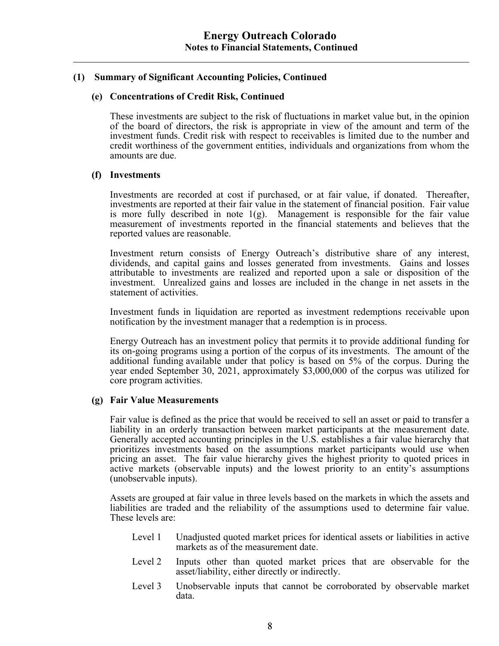#### **(e) Concentrations of Credit Risk, Continued**

These investments are subject to the risk of fluctuations in market value but, in the opinion of the board of directors, the risk is appropriate in view of the amount and term of the investment funds. Credit risk with respect to receivables is limited due to the number and credit worthiness of the government entities, individuals and organizations from whom the amounts are due.

#### **(f) Investments**

Investments are recorded at cost if purchased, or at fair value, if donated. Thereafter, investments are reported at their fair value in the statement of financial position. Fair value is more fully described in note  $1(g)$ . Management is responsible for the fair value measurement of investments reported in the financial statements and believes that the reported values are reasonable.

Investment return consists of Energy Outreach's distributive share of any interest, dividends, and capital gains and losses generated from investments. Gains and losses attributable to investments are realized and reported upon a sale or disposition of the investment. Unrealized gains and losses are included in the change in net assets in the statement of activities.

Investment funds in liquidation are reported as investment redemptions receivable upon notification by the investment manager that a redemption is in process.

Energy Outreach has an investment policy that permits it to provide additional funding for its on-going programs using a portion of the corpus of its investments. The amount of the additional funding available under that policy is based on 5% of the corpus. During the year ended September 30, 2021, approximately \$3,000,000 of the corpus was utilized for core program activities.

#### **(g) Fair Value Measurements**

Fair value is defined as the price that would be received to sell an asset or paid to transfer a liability in an orderly transaction between market participants at the measurement date. Generally accepted accounting principles in the U.S. establishes a fair value hierarchy that prioritizes investments based on the assumptions market participants would use when pricing an asset. The fair value hierarchy gives the highest priority to quoted prices in active markets (observable inputs) and the lowest priority to an entity's assumptions (unobservable inputs).

Assets are grouped at fair value in three levels based on the markets in which the assets and liabilities are traded and the reliability of the assumptions used to determine fair value. These levels are:

- Level 1 Unadjusted quoted market prices for identical assets or liabilities in active markets as of the measurement date.
- Level 2 Inputs other than quoted market prices that are observable for the asset/liability, either directly or indirectly.
- Level 3 Unobservable inputs that cannot be corroborated by observable market data.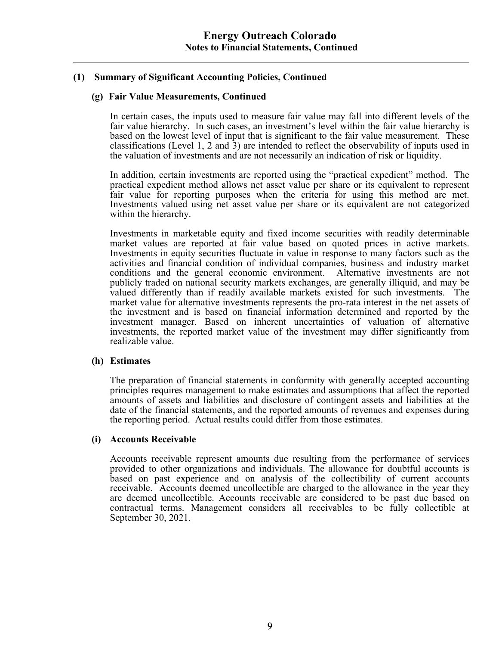#### **(g) Fair Value Measurements, Continued**

In certain cases, the inputs used to measure fair value may fall into different levels of the fair value hierarchy. In such cases, an investment's level within the fair value hierarchy is based on the lowest level of input that is significant to the fair value measurement. These classifications (Level 1, 2 and 3) are intended to reflect the observability of inputs used in the valuation of investments and are not necessarily an indication of risk or liquidity.

In addition, certain investments are reported using the "practical expedient" method. The practical expedient method allows net asset value per share or its equivalent to represent fair value for reporting purposes when the criteria for using this method are met. Investments valued using net asset value per share or its equivalent are not categorized within the hierarchy.

Investments in marketable equity and fixed income securities with readily determinable market values are reported at fair value based on quoted prices in active markets. Investments in equity securities fluctuate in value in response to many factors such as the activities and financial condition of individual companies, business and industry market conditions and the general economic environment. Alternative investments are not publicly traded on national security markets exchanges, are generally illiquid, and may be valued differently than if readily available markets existed for such investments. The market value for alternative investments represents the pro-rata interest in the net assets of the investment and is based on financial information determined and reported by the investment manager. Based on inherent uncertainties of valuation of alternative investments, the reported market value of the investment may differ significantly from realizable value.

#### **(h) Estimates**

The preparation of financial statements in conformity with generally accepted accounting principles requires management to make estimates and assumptions that affect the reported amounts of assets and liabilities and disclosure of contingent assets and liabilities at the date of the financial statements, and the reported amounts of revenues and expenses during the reporting period. Actual results could differ from those estimates.

#### **(i) Accounts Receivable**

Accounts receivable represent amounts due resulting from the performance of services provided to other organizations and individuals. The allowance for doubtful accounts is based on past experience and on analysis of the collectibility of current accounts receivable. Accounts deemed uncollectible are charged to the allowance in the year they are deemed uncollectible. Accounts receivable are considered to be past due based on contractual terms. Management considers all receivables to be fully collectible at September 30, 2021.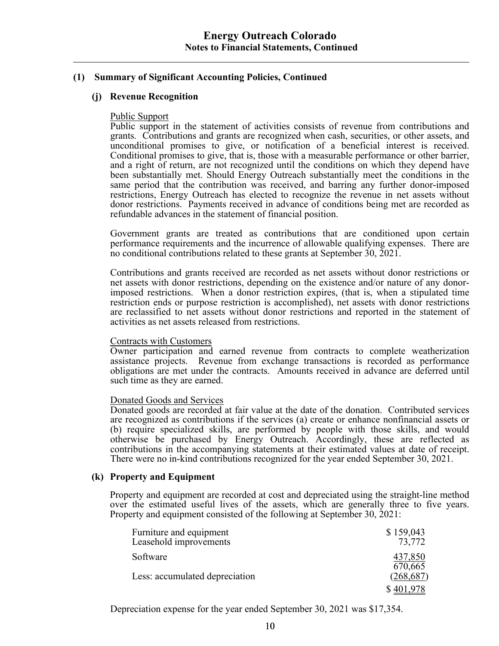### **(j) Revenue Recognition**

#### Public Support

Public support in the statement of activities consists of revenue from contributions and grants. Contributions and grants are recognized when cash, securities, or other assets, and unconditional promises to give, or notification of a beneficial interest is received. Conditional promises to give, that is, those with a measurable performance or other barrier, and a right of return, are not recognized until the conditions on which they depend have been substantially met. Should Energy Outreach substantially meet the conditions in the same period that the contribution was received, and barring any further donor-imposed restrictions, Energy Outreach has elected to recognize the revenue in net assets without donor restrictions. Payments received in advance of conditions being met are recorded as refundable advances in the statement of financial position.

Government grants are treated as contributions that are conditioned upon certain performance requirements and the incurrence of allowable qualifying expenses. There are no conditional contributions related to these grants at September 30, 2021.

Contributions and grants received are recorded as net assets without donor restrictions or net assets with donor restrictions, depending on the existence and/or nature of any donorimposed restrictions. When a donor restriction expires, (that is, when a stipulated time restriction ends or purpose restriction is accomplished), net assets with donor restrictions are reclassified to net assets without donor restrictions and reported in the statement of activities as net assets released from restrictions.

#### Contracts with Customers

Owner participation and earned revenue from contracts to complete weatherization assistance projects. Revenue from exchange transactions is recorded as performance obligations are met under the contracts. Amounts received in advance are deferred until such time as they are earned.

#### Donated Goods and Services

Donated goods are recorded at fair value at the date of the donation. Contributed services are recognized as contributions if the services (a) create or enhance nonfinancial assets or (b) require specialized skills, are performed by people with those skills, and would otherwise be purchased by Energy Outreach. Accordingly, these are reflected as contributions in the accompanying statements at their estimated values at date of receipt. There were no in-kind contributions recognized for the year ended September 30, 2021.

#### **(k) Property and Equipment**

Property and equipment are recorded at cost and depreciated using the straight-line method over the estimated useful lives of the assets, which are generally three to five years. Property and equipment consisted of the following at September 30, 2021:

| Furniture and equipment<br>Leasehold improvements | \$159,043<br>73,772  |
|---------------------------------------------------|----------------------|
| Software                                          | 437,850              |
| Less: accumulated depreciation                    | 670,665<br>(268,687) |
|                                                   |                      |

Depreciation expense for the year ended September 30, 2021 was \$17,354.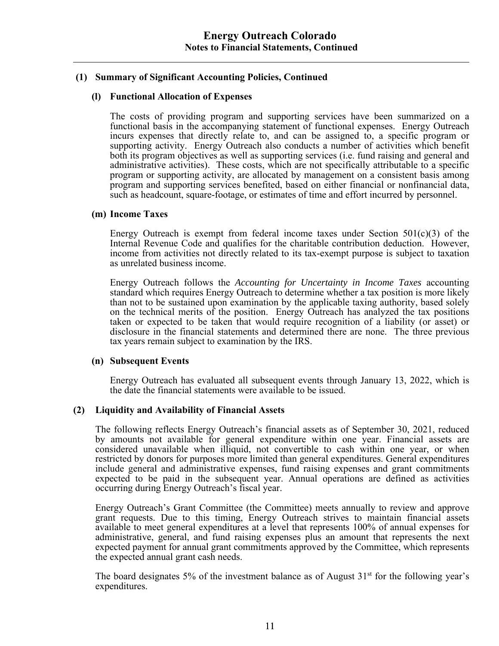#### **(l) Functional Allocation of Expenses**

The costs of providing program and supporting services have been summarized on a functional basis in the accompanying statement of functional expenses. Energy Outreach incurs expenses that directly relate to, and can be assigned to, a specific program or supporting activity. Energy Outreach also conducts a number of activities which benefit both its program objectives as well as supporting services (i.e. fund raising and general and administrative activities). These costs, which are not specifically attributable to a specific program or supporting activity, are allocated by management on a consistent basis among program and supporting services benefited, based on either financial or nonfinancial data, such as headcount, square-footage, or estimates of time and effort incurred by personnel.

#### **(m) Income Taxes**

Energy Outreach is exempt from federal income taxes under Section  $501(c)(3)$  of the Internal Revenue Code and qualifies for the charitable contribution deduction. However, income from activities not directly related to its tax-exempt purpose is subject to taxation as unrelated business income.

Energy Outreach follows the *Accounting for Uncertainty in Income Taxes* accounting standard which requires Energy Outreach to determine whether a tax position is more likely than not to be sustained upon examination by the applicable taxing authority, based solely on the technical merits of the position. Energy Outreach has analyzed the tax positions taken or expected to be taken that would require recognition of a liability (or asset) or disclosure in the financial statements and determined there are none. The three previous tax years remain subject to examination by the IRS.

#### **(n) Subsequent Events**

Energy Outreach has evaluated all subsequent events through January 13, 2022, which is the date the financial statements were available to be issued.

#### **(2) Liquidity and Availability of Financial Assets**

The following reflects Energy Outreach's financial assets as of September 30, 2021, reduced by amounts not available for general expenditure within one year. Financial assets are considered unavailable when illiquid, not convertible to cash within one year, or when restricted by donors for purposes more limited than general expenditures. General expenditures include general and administrative expenses, fund raising expenses and grant commitments expected to be paid in the subsequent year. Annual operations are defined as activities occurring during Energy Outreach's fiscal year.

Energy Outreach's Grant Committee (the Committee) meets annually to review and approve grant requests. Due to this timing, Energy Outreach strives to maintain financial assets available to meet general expenditures at a level that represents 100% of annual expenses for administrative, general, and fund raising expenses plus an amount that represents the next expected payment for annual grant commitments approved by the Committee, which represents the expected annual grant cash needs.

The board designates 5% of the investment balance as of August  $31<sup>st</sup>$  for the following year's expenditures.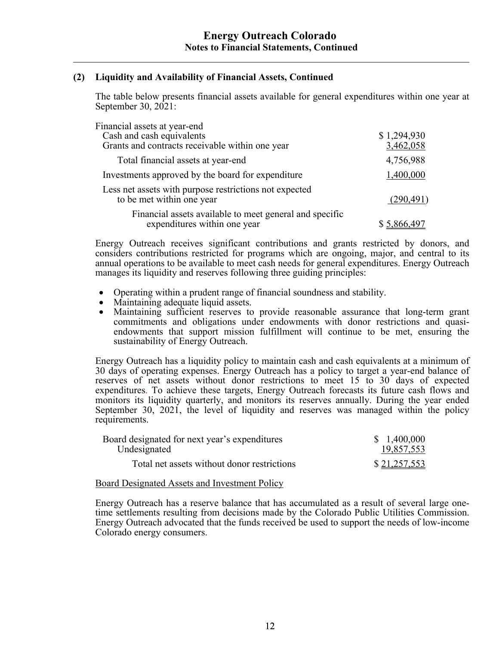### **(2) Liquidity and Availability of Financial Assets, Continued**

The table below presents financial assets available for general expenditures within one year at September 30, 2021:

| Financial assets at year-end                                                            |             |
|-----------------------------------------------------------------------------------------|-------------|
| Cash and cash equivalents                                                               | \$1,294,930 |
| Grants and contracts receivable within one year                                         | 3,462,058   |
| Total financial assets at year-end                                                      | 4,756,988   |
| Investments approved by the board for expenditure                                       | 1,400,000   |
| Less net assets with purpose restrictions not expected<br>to be met within one year     | (290, 491)  |
| Financial assets available to meet general and specific<br>expenditures within one year |             |

Energy Outreach receives significant contributions and grants restricted by donors, and considers contributions restricted for programs which are ongoing, major, and central to its annual operations to be available to meet cash needs for general expenditures. Energy Outreach manages its liquidity and reserves following three guiding principles:

- Operating within a prudent range of financial soundness and stability.
- Maintaining adequate liquid assets.
- Maintaining sufficient reserves to provide reasonable assurance that long-term grant commitments and obligations under endowments with donor restrictions and quasiendowments that support mission fulfillment will continue to be met, ensuring the sustainability of Energy Outreach.

Energy Outreach has a liquidity policy to maintain cash and cash equivalents at a minimum of 30 days of operating expenses. Energy Outreach has a policy to target a year-end balance of reserves of net assets without donor restrictions to meet 15 to 30 days of expected expenditures. To achieve these targets, Energy Outreach forecasts its future cash flows and monitors its liquidity quarterly, and monitors its reserves annually. During the year ended September 30, 2021, the level of liquidity and reserves was managed within the policy requirements.

| Board designated for next year's expenditures | \$1,400,000  |
|-----------------------------------------------|--------------|
| Undesignated                                  | 19,857,553   |
| Total net assets without donor restrictions   | \$21,257,553 |

Board Designated Assets and Investment Policy

Energy Outreach has a reserve balance that has accumulated as a result of several large onetime settlements resulting from decisions made by the Colorado Public Utilities Commission. Energy Outreach advocated that the funds received be used to support the needs of low-income Colorado energy consumers.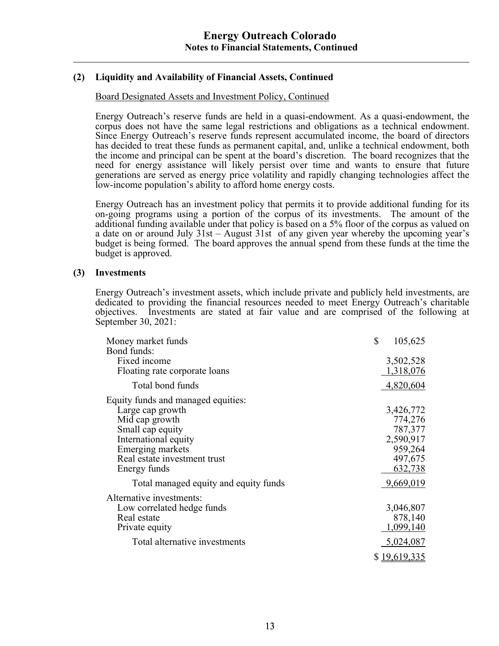### **(2) Liquidity and Availability of Financial Assets, Continued**

#### Board Designated Assets and Investment Policy, Continued

Energy Outreach's reserve funds are held in a quasi-endowment. As a quasi-endowment, the corpus does not have the same legal restrictions and obligations as a technical endowment. Since Energy Outreach's reserve funds represent accumulated income, the board of directors has decided to treat these funds as permanent capital, and, unlike a technical endowment, both the income and principal can be spent at the board's discretion. The board recognizes that the need for energy assistance will likely persist over time and wants to ensure that future generations are served as energy price volatility and rapidly changing technologies affect the low-income population's ability to afford home energy costs.

Energy Outreach has an investment policy that permits it to provide additional funding for its on-going programs using a portion of the corpus of its investments. The amount of the additional funding available under that policy is based on a 5% floor of the corpus as valued on a date on or around July 31st – August 31st of any given year whereby the upcoming year's budget is being formed. The board approves the annual spend from these funds at the time the budget is approved.

#### **(3) Investments**

Energy Outreach's investment assets, which include private and publicly held investments, are dedicated to providing the financial resources needed to meet Energy Outreach's charitable objectives. Investments are stated at fair value and are comprised of the following at September 30, 2021:

| Money market funds<br>Bond funds:                                                                                                                                                        | \$<br>105,625                                                                 |
|------------------------------------------------------------------------------------------------------------------------------------------------------------------------------------------|-------------------------------------------------------------------------------|
| Fixed income<br>Floating rate corporate loans                                                                                                                                            | 3,502,528<br>1,318,076                                                        |
| Total bond funds                                                                                                                                                                         | 4,820,604                                                                     |
| Equity funds and managed equities:<br>Large cap growth<br>Mid cap growth<br>Small cap equity<br>International equity<br>Emerging markets<br>Real estate investment trust<br>Energy funds | 3,426,772<br>774,276<br>787,377<br>2,590,917<br>959,264<br>497,675<br>632,738 |
| Total managed equity and equity funds                                                                                                                                                    | 9,669,019                                                                     |
| Alternative investments:<br>Low correlated hedge funds<br>Real estate<br>Private equity<br>Total alternative investments                                                                 | 3,046,807<br>878,140<br>1,099,140<br>5,024,087<br>\$19,619,335                |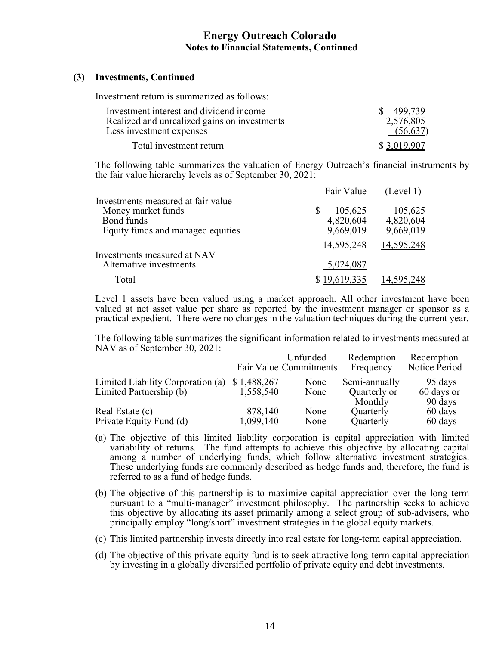#### **(3) Investments, Continued**

Investment return is summarized as follows:

| Investment interest and dividend income                                  | \$499,739             |
|--------------------------------------------------------------------------|-----------------------|
| Realized and unrealized gains on investments<br>Less investment expenses | 2,576,805<br>(56,637) |
| Total investment return                                                  | \$3,019,907           |

The following table summarizes the valuation of Energy Outreach's financial instruments by the fair value hierarchy levels as of September 30, 2021:

|                                    | Fair Value   | (Level 1)  |
|------------------------------------|--------------|------------|
| Investments measured at fair value |              |            |
| Money market funds                 | 105,625      | 105,625    |
| Bond funds                         | 4,820,604    | 4,820,604  |
| Equity funds and managed equities  | 9,669,019    | 9,669,019  |
|                                    | 14,595,248   | 14,595,248 |
| Investments measured at NAV        |              |            |
| Alternative investments            | 5,024,087    |            |
| Total                              | \$19,619,335 | 14,595,248 |

Level 1 assets have been valued using a market approach. All other investment have been valued at net asset value per share as reported by the investment manager or sponsor as a practical expedient. There were no changes in the valuation techniques during the current year.

The following table summarizes the significant information related to investments measured at NAV as of September 30, 2021:

|                                   |             | Unfunded               | Redemption    | Redemption    |
|-----------------------------------|-------------|------------------------|---------------|---------------|
|                                   |             | Fair Value Commitments | Frequency     | Notice Period |
| Limited Liability Corporation (a) | \$1,488,267 | None                   | Semi-annually | 95 days       |
| Limited Partnership (b)           | 1,558,540   | None                   | Quarterly or  | 60 days or    |
|                                   |             |                        | Monthly       | 90 days       |
| Real Estate (c)                   | 878,140     | None                   | Quarterly     | 60 days       |
| Private Equity Fund (d)           | 1,099,140   | None                   | Quarterly     | 60 days       |

- (a) The objective of this limited liability corporation is capital appreciation with limited variability of returns. The fund attempts to achieve this objective by allocating capital among a number of underlying funds, which follow alternative investment strategies. These underlying funds are commonly described as hedge funds and, therefore, the fund is referred to as a fund of hedge funds.
- (b) The objective of this partnership is to maximize capital appreciation over the long term pursuant to a "multi-manager" investment philosophy. The partnership seeks to achieve this objective by allocating its asset primarily among a select group of sub-advisers, who principally employ "long/short" investment strategies in the global equity markets.
- (c) This limited partnership invests directly into real estate for long-term capital appreciation.
- (d) The objective of this private equity fund is to seek attractive long-term capital appreciation by investing in a globally diversified portfolio of private equity and debt investments.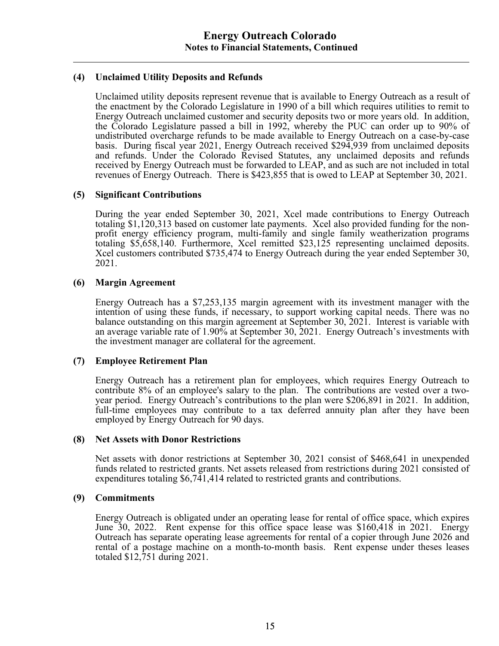#### **(4) Unclaimed Utility Deposits and Refunds**

Unclaimed utility deposits represent revenue that is available to Energy Outreach as a result of the enactment by the Colorado Legislature in 1990 of a bill which requires utilities to remit to Energy Outreach unclaimed customer and security deposits two or more years old. In addition, the Colorado Legislature passed a bill in 1992, whereby the PUC can order up to 90% of undistributed overcharge refunds to be made available to Energy Outreach on a case-by-case basis. During fiscal year 2021, Energy Outreach received \$294,939 from unclaimed deposits and refunds. Under the Colorado Revised Statutes, any unclaimed deposits and refunds received by Energy Outreach must be forwarded to LEAP, and as such are not included in total revenues of Energy Outreach. There is \$423,855 that is owed to LEAP at September 30, 2021.

#### **(5) Significant Contributions**

During the year ended September 30, 2021, Xcel made contributions to Energy Outreach totaling \$1,120,313 based on customer late payments. Xcel also provided funding for the nonprofit energy efficiency program, multi-family and single family weatherization programs totaling \$5,658,140. Furthermore, Xcel remitted \$23,125 representing unclaimed deposits. Xcel customers contributed \$735,474 to Energy Outreach during the year ended September 30, 2021.

#### **(6) Margin Agreement**

 Energy Outreach has a \$7,253,135 margin agreement with its investment manager with the intention of using these funds, if necessary, to support working capital needs. There was no balance outstanding on this margin agreement at September 30, 2021. Interest is variable with an average variable rate of 1.90% at September 30, 2021. Energy Outreach's investments with the investment manager are collateral for the agreement.

#### **(7) Employee Retirement Plan**

Energy Outreach has a retirement plan for employees, which requires Energy Outreach to contribute 8% of an employee's salary to the plan. The contributions are vested over a twoyear period. Energy Outreach's contributions to the plan were \$206,891 in 2021. In addition, full-time employees may contribute to a tax deferred annuity plan after they have been employed by Energy Outreach for 90 days.

#### **(8) Net Assets with Donor Restrictions**

 Net assets with donor restrictions at September 30, 2021 consist of \$468,641 in unexpended funds related to restricted grants. Net assets released from restrictions during 2021 consisted of expenditures totaling \$6,741,414 related to restricted grants and contributions.

#### **(9) Commitments**

Energy Outreach is obligated under an operating lease for rental of office space, which expires June 30, 2022. Rent expense for this office space lease was \$160,418 in 2021. Energy Outreach has separate operating lease agreements for rental of a copier through June 2026 and rental of a postage machine on a month-to-month basis. Rent expense under theses leases totaled \$12,751 during 2021.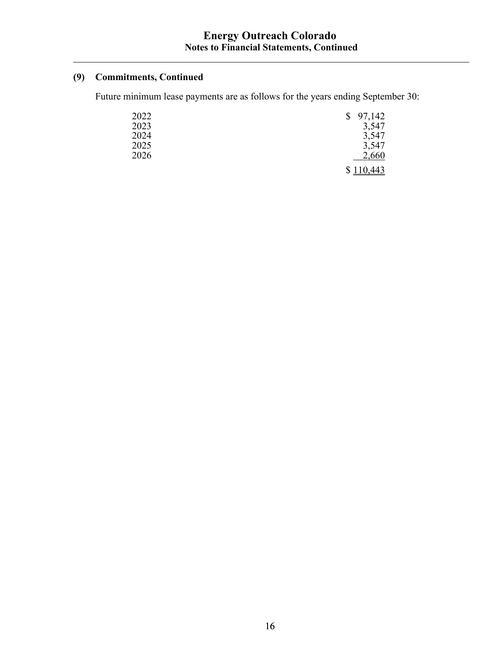## **(9) Commitments, Continued**

Future minimum lease payments are as follows for the years ending September 30:

| 2022 | $\mathbb{S}$ | 97,142         |
|------|--------------|----------------|
| 2023 |              | 3,547          |
| 2024 |              | 3,547          |
| 2025 |              | 3,547          |
| 2026 |              | 2,660          |
|      |              | <u>110,443</u> |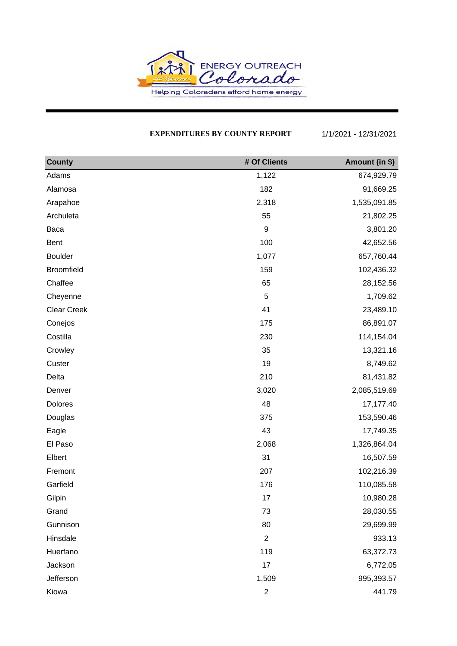

#### **EXPENDITURES BY COUNTY REPORT** 1/1/2021 - 12/31/2021

| <b>County</b>      | # Of Clients     | Amount (in \$) |
|--------------------|------------------|----------------|
| Adams              | 1,122            | 674,929.79     |
| Alamosa            | 182              | 91,669.25      |
| Arapahoe           | 2,318            | 1,535,091.85   |
| Archuleta          | 55               | 21,802.25      |
| Baca               | $\boldsymbol{9}$ | 3,801.20       |
| Bent               | 100              | 42,652.56      |
| <b>Boulder</b>     | 1,077            | 657,760.44     |
| <b>Broomfield</b>  | 159              | 102,436.32     |
| Chaffee            | 65               | 28,152.56      |
| Cheyenne           | 5                | 1,709.62       |
| <b>Clear Creek</b> | 41               | 23,489.10      |
| Conejos            | 175              | 86,891.07      |
| Costilla           | 230              | 114,154.04     |
| Crowley            | 35               | 13,321.16      |
| Custer             | 19               | 8,749.62       |
| Delta              | 210              | 81,431.82      |
| Denver             | 3,020            | 2,085,519.69   |
| Dolores            | 48               | 17,177.40      |
| Douglas            | 375              | 153,590.46     |
| Eagle              | 43               | 17,749.35      |
| El Paso            | 2,068            | 1,326,864.04   |
| Elbert             | 31               | 16,507.59      |
| Fremont            | 207              | 102,216.39     |
| Garfield           | 176              | 110,085.58     |
| Gilpin             | 17               | 10,980.28      |
| Grand              | 73               | 28,030.55      |
| Gunnison           | 80               | 29,699.99      |
| Hinsdale           | $\overline{2}$   | 933.13         |
| Huerfano           | 119              | 63,372.73      |
| Jackson            | 17               | 6,772.05       |
| Jefferson          | 1,509            | 995,393.57     |
| Kiowa              | $\overline{2}$   | 441.79         |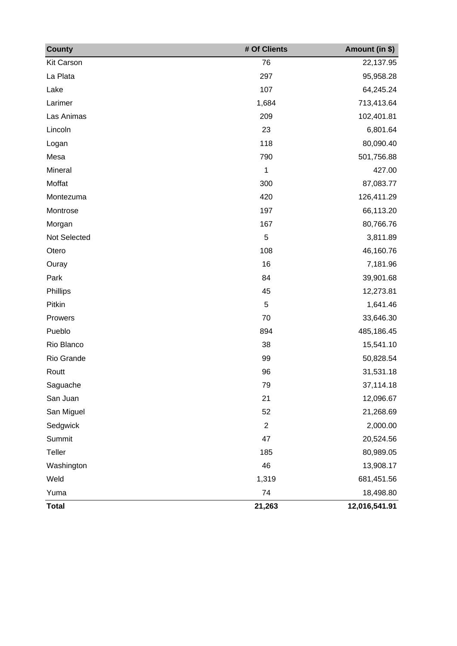| <b>County</b>     | # Of Clients   | Amount (in \$) |
|-------------------|----------------|----------------|
| <b>Kit Carson</b> | 76             | 22,137.95      |
| La Plata          | 297            | 95,958.28      |
| Lake              | 107            | 64,245.24      |
| Larimer           | 1,684          | 713,413.64     |
| Las Animas        | 209            | 102,401.81     |
| Lincoln           | 23             | 6,801.64       |
| Logan             | 118            | 80,090.40      |
| Mesa              | 790            | 501,756.88     |
| Mineral           | $\mathbf 1$    | 427.00         |
| Moffat            | 300            | 87,083.77      |
| Montezuma         | 420            | 126,411.29     |
| Montrose          | 197            | 66,113.20      |
| Morgan            | 167            | 80,766.76      |
| Not Selected      | $\overline{5}$ | 3,811.89       |
| Otero             | 108            | 46,160.76      |
| Ouray             | 16             | 7,181.96       |
| Park              | 84             | 39,901.68      |
| Phillips          | 45             | 12,273.81      |
| Pitkin            | 5              | 1,641.46       |
| Prowers           | 70             | 33,646.30      |
| Pueblo            | 894            | 485,186.45     |
| Rio Blanco        | 38             | 15,541.10      |
| Rio Grande        | 99             | 50,828.54      |
| Routt             | 96             | 31,531.18      |
| Saguache          | 79             | 37,114.18      |
| San Juan          | 21             | 12,096.67      |
| San Miguel        | 52             | 21,268.69      |
| Sedgwick          | $\overline{2}$ | 2,000.00       |
| Summit            | 47             | 20,524.56      |
| Teller            | 185            | 80,989.05      |
| Washington        | 46             | 13,908.17      |
| Weld              | 1,319          | 681,451.56     |
| Yuma              | 74             | 18,498.80      |
| <b>Total</b>      | 21,263         | 12,016,541.91  |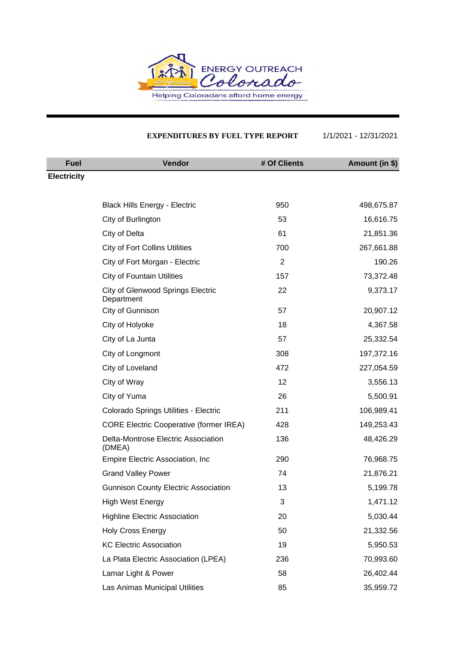

#### **EXPENDITURES BY FUEL TYPE REPORT** 1/1/2021 - 12/31/2021

| <b>Fuel</b>        | Vendor                                          | # Of Clients | Amount (in \$) |
|--------------------|-------------------------------------------------|--------------|----------------|
| <b>Electricity</b> |                                                 |              |                |
|                    |                                                 |              |                |
|                    | <b>Black Hills Energy - Electric</b>            | 950          | 498,675.87     |
|                    | City of Burlington                              | 53           | 16,616.75      |
|                    | City of Delta                                   | 61           | 21,851.36      |
|                    | <b>City of Fort Collins Utilities</b>           | 700          | 267,661.88     |
|                    | City of Fort Morgan - Electric                  | 2            | 190.26         |
|                    | <b>City of Fountain Utilities</b>               | 157          | 73,372.48      |
|                    | City of Glenwood Springs Electric<br>Department | 22           | 9,373.17       |
|                    | City of Gunnison                                | 57           | 20,907.12      |
|                    | City of Holyoke                                 | 18           | 4,367.58       |
|                    | City of La Junta                                | 57           | 25,332.54      |
|                    | City of Longmont                                | 308          | 197,372.16     |
|                    | City of Loveland                                | 472          | 227,054.59     |
|                    | City of Wray                                    | 12           | 3,556.13       |
|                    | City of Yuma                                    | 26           | 5,500.91       |
|                    | Colorado Springs Utilities - Electric           | 211          | 106,989.41     |
|                    | <b>CORE Electric Cooperative (former IREA)</b>  | 428          | 149,253.43     |
|                    | Delta-Montrose Electric Association<br>(DMEA)   | 136          | 48,426.29      |
|                    | Empire Electric Association, Inc.               | 290          | 76,968.75      |
|                    | <b>Grand Valley Power</b>                       | 74           | 21,876.21      |
|                    | <b>Gunnison County Electric Association</b>     | 13           | 5,199.78       |
|                    | <b>High West Energy</b>                         | 3            | 1,471.12       |
|                    | <b>Highline Electric Association</b>            | 20           | 5,030.44       |
|                    | <b>Holy Cross Energy</b>                        | 50           | 21,332.56      |
|                    | <b>KC Electric Association</b>                  | 19           | 5,950.53       |
|                    | La Plata Electric Association (LPEA)            | 236          | 70,993.60      |
|                    | Lamar Light & Power                             | 58           | 26,402.44      |
|                    | Las Animas Municipal Utilities                  | 85           | 35,959.72      |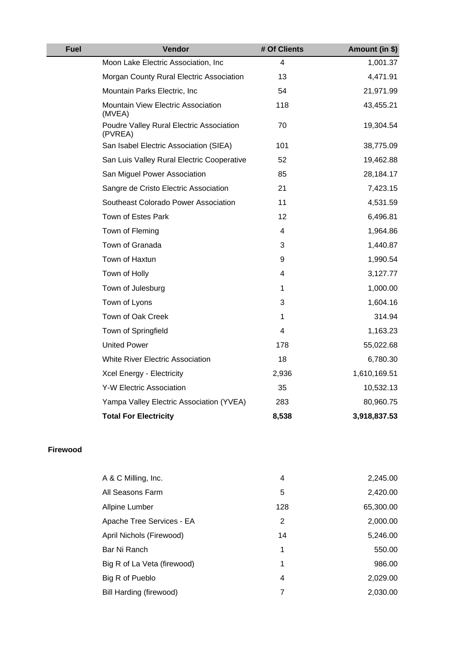| <b>Fuel</b> | Vendor                                              | # Of Clients | Amount (in \$) |
|-------------|-----------------------------------------------------|--------------|----------------|
|             | Moon Lake Electric Association, Inc                 | 4            | 1,001.37       |
|             | Morgan County Rural Electric Association            | 13           | 4,471.91       |
|             | Mountain Parks Electric, Inc.                       | 54           | 21,971.99      |
|             | Mountain View Electric Association<br>(MVEA)        | 118          | 43,455.21      |
|             | Poudre Valley Rural Electric Association<br>(PVREA) | 70           | 19,304.54      |
|             | San Isabel Electric Association (SIEA)              | 101          | 38,775.09      |
|             | San Luis Valley Rural Electric Cooperative          | 52           | 19,462.88      |
|             | San Miguel Power Association                        | 85           | 28,184.17      |
|             | Sangre de Cristo Electric Association               | 21           | 7,423.15       |
|             | Southeast Colorado Power Association                | 11           | 4,531.59       |
|             | Town of Estes Park                                  | 12           | 6,496.81       |
|             | Town of Fleming                                     | 4            | 1,964.86       |
|             | Town of Granada                                     | 3            | 1,440.87       |
|             | Town of Haxtun                                      | 9            | 1,990.54       |
|             | Town of Holly                                       | 4            | 3,127.77       |
|             | Town of Julesburg                                   | 1            | 1,000.00       |
|             | Town of Lyons                                       | 3            | 1,604.16       |
|             | Town of Oak Creek                                   | 1            | 314.94         |
|             | Town of Springfield                                 | 4            | 1,163.23       |
|             | <b>United Power</b>                                 | 178          | 55,022.68      |
|             | <b>White River Electric Association</b>             | 18           | 6,780.30       |
|             | Xcel Energy - Electricity                           | 2,936        | 1,610,169.51   |
|             | Y-W Electric Association                            | 35           | 10,532.13      |
|             | Yampa Valley Electric Association (YVEA)            | 283          | 80,960.75      |
|             | <b>Total For Electricity</b>                        | 8,538        | 3,918,837.53   |

#### **Firewood**

| A & C Milling, Inc.         | 4   | 2,245.00  |
|-----------------------------|-----|-----------|
| All Seasons Farm            | 5   | 2,420.00  |
| Allpine Lumber              | 128 | 65,300.00 |
| Apache Tree Services - EA   | 2   | 2,000.00  |
| April Nichols (Firewood)    | 14  | 5,246.00  |
| Bar Ni Ranch                | 1   | 550.00    |
| Big R of La Veta (firewood) | 1   | 986.00    |
| Big R of Pueblo             | 4   | 2,029.00  |
| Bill Harding (firewood)     |     | 2,030.00  |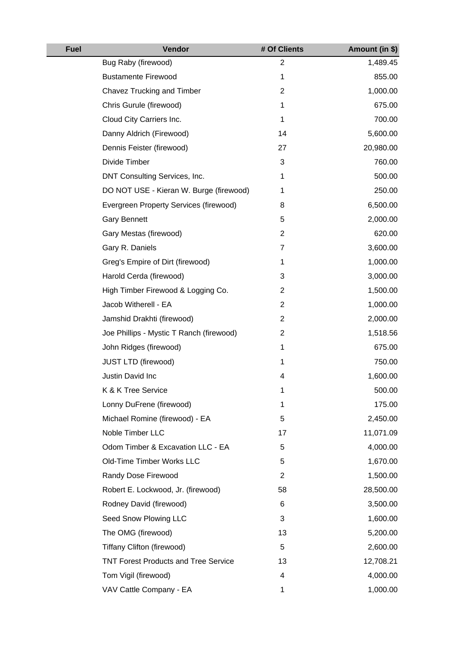| <b>Fuel</b> | Vendor                                      | # Of Clients   | Amount (in \$) |
|-------------|---------------------------------------------|----------------|----------------|
|             | Bug Raby (firewood)                         | $\overline{2}$ | 1,489.45       |
|             | <b>Bustamente Firewood</b>                  | 1              | 855.00         |
|             | Chavez Trucking and Timber                  | $\overline{2}$ | 1,000.00       |
|             | Chris Gurule (firewood)                     | 1              | 675.00         |
|             | Cloud City Carriers Inc.                    | 1              | 700.00         |
|             | Danny Aldrich (Firewood)                    | 14             | 5,600.00       |
|             | Dennis Feister (firewood)                   | 27             | 20,980.00      |
|             | Divide Timber                               | 3              | 760.00         |
|             | DNT Consulting Services, Inc.               | 1              | 500.00         |
|             | DO NOT USE - Kieran W. Burge (firewood)     | 1              | 250.00         |
|             | Evergreen Property Services (firewood)      | 8              | 6,500.00       |
|             | <b>Gary Bennett</b>                         | 5              | 2,000.00       |
|             | Gary Mestas (firewood)                      | $\overline{2}$ | 620.00         |
|             | Gary R. Daniels                             | 7              | 3,600.00       |
|             | Greg's Empire of Dirt (firewood)            | 1              | 1,000.00       |
|             | Harold Cerda (firewood)                     | 3              | 3,000.00       |
|             | High Timber Firewood & Logging Co.          | $\overline{2}$ | 1,500.00       |
|             | Jacob Witherell - EA                        | $\overline{2}$ | 1,000.00       |
|             | Jamshid Drakhti (firewood)                  | $\mathbf{2}$   | 2,000.00       |
|             | Joe Phillips - Mystic T Ranch (firewood)    | $\mathbf{2}$   | 1,518.56       |
|             | John Ridges (firewood)                      | 1              | 675.00         |
|             | <b>JUST LTD (firewood)</b>                  | 1              | 750.00         |
|             | Justin David Inc                            | 4              | 1,600.00       |
|             | K & K Tree Service                          | 1              | 500.00         |
|             | Lonny DuFrene (firewood)                    | 1              | 175.00         |
|             | Michael Romine (firewood) - EA              | 5              | 2,450.00       |
|             | Noble Timber LLC                            | 17             | 11,071.09      |
|             | Odom Timber & Excavation LLC - EA           | 5              | 4,000.00       |
|             | Old-Time Timber Works LLC                   | 5              | 1,670.00       |
|             | Randy Dose Firewood                         | $\overline{2}$ | 1,500.00       |
|             | Robert E. Lockwood, Jr. (firewood)          | 58             | 28,500.00      |
|             | Rodney David (firewood)                     | 6              | 3,500.00       |
|             | Seed Snow Plowing LLC                       | 3              | 1,600.00       |
|             | The OMG (firewood)                          | 13             | 5,200.00       |
|             | Tiffany Clifton (firewood)                  | 5              | 2,600.00       |
|             | <b>TNT Forest Products and Tree Service</b> | 13             | 12,708.21      |
|             | Tom Vigil (firewood)                        | 4              | 4,000.00       |
|             | VAV Cattle Company - EA                     | 1              | 1,000.00       |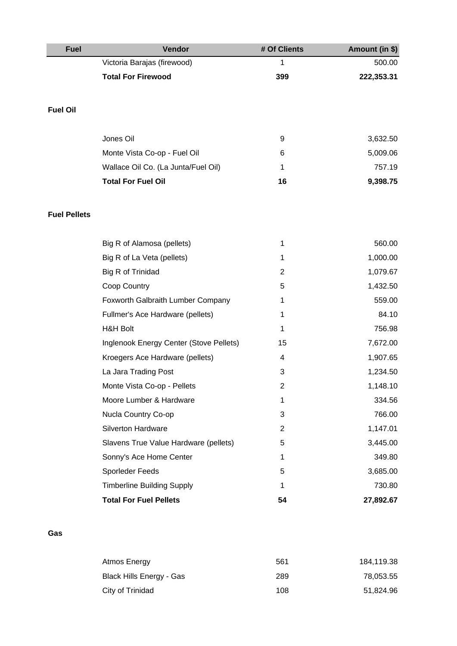| <b>Fuel</b>         | Vendor                                  | # Of Clients   | Amount (in \$) |
|---------------------|-----------------------------------------|----------------|----------------|
|                     | Victoria Barajas (firewood)             | 1              | 500.00         |
|                     | <b>Total For Firewood</b>               | 399            | 222,353.31     |
|                     |                                         |                |                |
| <b>Fuel Oil</b>     |                                         |                |                |
|                     |                                         |                |                |
|                     | Jones Oil                               | 9              | 3,632.50       |
|                     | Monte Vista Co-op - Fuel Oil            | 6              | 5,009.06       |
|                     | Wallace Oil Co. (La Junta/Fuel Oil)     | 1              | 757.19         |
|                     | <b>Total For Fuel Oil</b>               | 16             | 9,398.75       |
|                     |                                         |                |                |
| <b>Fuel Pellets</b> |                                         |                |                |
|                     |                                         |                |                |
|                     | Big R of Alamosa (pellets)              | 1              | 560.00         |
|                     | Big R of La Veta (pellets)              | 1              | 1,000.00       |
|                     | Big R of Trinidad                       | $\overline{2}$ | 1,079.67       |
|                     | Coop Country                            | 5              | 1,432.50       |
|                     | Foxworth Galbraith Lumber Company       | 1              | 559.00         |
|                     | Fullmer's Ace Hardware (pellets)        | 1              | 84.10          |
|                     | <b>H&amp;H Bolt</b>                     | 1              | 756.98         |
|                     | Inglenook Energy Center (Stove Pellets) | 15             | 7,672.00       |
|                     | Kroegers Ace Hardware (pellets)         | 4              | 1,907.65       |
|                     | La Jara Trading Post                    | 3              | 1,234.50       |
|                     | Monte Vista Co-op - Pellets             | 2              | 1,148.10       |
|                     | Moore Lumber & Hardware                 | 1              | 334.56         |
|                     | Nucla Country Co-op                     | 3              | 766.00         |
|                     | Silverton Hardware                      | $\overline{2}$ | 1,147.01       |
|                     | Slavens True Value Hardware (pellets)   | 5              | 3,445.00       |
|                     | Sonny's Ace Home Center                 | 1              | 349.80         |
|                     | Sporleder Feeds                         | 5              | 3,685.00       |
|                     | <b>Timberline Building Supply</b>       | 1              | 730.80         |
|                     | <b>Total For Fuel Pellets</b>           | 54             | 27,892.67      |
|                     |                                         |                |                |

## **Gas**

| Atmos Energy             | 561 | 184,119.38 |
|--------------------------|-----|------------|
| Black Hills Energy - Gas | 289 | 78,053.55  |
| City of Trinidad         | 108 | 51,824.96  |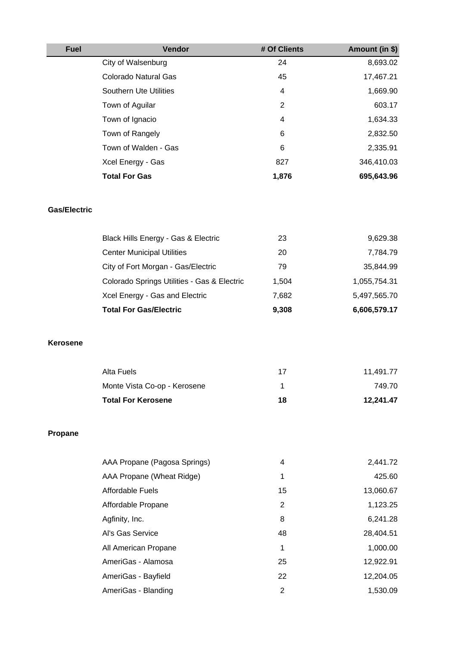| <b>Fuel</b>         | Vendor                                      | # Of Clients   | Amount (in \$) |
|---------------------|---------------------------------------------|----------------|----------------|
|                     | City of Walsenburg                          | 24             | 8,693.02       |
|                     | <b>Colorado Natural Gas</b>                 | 45             | 17,467.21      |
|                     | <b>Southern Ute Utilities</b>               | 4              | 1,669.90       |
|                     | Town of Aguilar                             | $\overline{2}$ | 603.17         |
|                     | Town of Ignacio                             | 4              | 1,634.33       |
|                     | Town of Rangely                             | 6              | 2,832.50       |
|                     | Town of Walden - Gas                        | 6              | 2,335.91       |
|                     | Xcel Energy - Gas                           | 827            | 346,410.03     |
|                     | <b>Total For Gas</b>                        | 1,876          | 695,643.96     |
| <b>Gas/Electric</b> |                                             |                |                |
|                     | Black Hills Energy - Gas & Electric         | 23             | 9,629.38       |
|                     | <b>Center Municipal Utilities</b>           | 20             | 7,784.79       |
|                     | City of Fort Morgan - Gas/Electric          | 79             | 35,844.99      |
|                     | Colorado Springs Utilities - Gas & Electric | 1,504          | 1,055,754.31   |
|                     | Xcel Energy - Gas and Electric              | 7,682          | 5,497,565.70   |
|                     | <b>Total For Gas/Electric</b>               | 9,308          | 6,606,579.17   |
| <b>Kerosene</b>     |                                             |                |                |
|                     | Alta Fuels                                  | 17             | 11,491.77      |
|                     | Monte Vista Co-op - Kerosene                | $\mathbf{1}$   | 749.70         |
|                     | <b>Total For Kerosene</b>                   | 18             | 12,241.47      |
| Propane             |                                             |                |                |
|                     | AAA Propane (Pagosa Springs)                | 4              | 2,441.72       |
|                     | AAA Propane (Wheat Ridge)                   | 1              | 425.60         |
|                     | <b>Affordable Fuels</b>                     | 15             | 13,060.67      |
|                     | Affordable Propane                          | $\overline{2}$ | 1,123.25       |
|                     | Agfinity, Inc.                              | 8              | 6,241.28       |
|                     | Al's Gas Service                            | 48             | 28,404.51      |
|                     | All American Propane                        | $\mathbf 1$    | 1,000.00       |
|                     | AmeriGas - Alamosa                          | 25             | 12,922.91      |
|                     | AmeriGas - Bayfield                         | 22             | 12,204.05      |
|                     | AmeriGas - Blanding                         | $\overline{2}$ | 1,530.09       |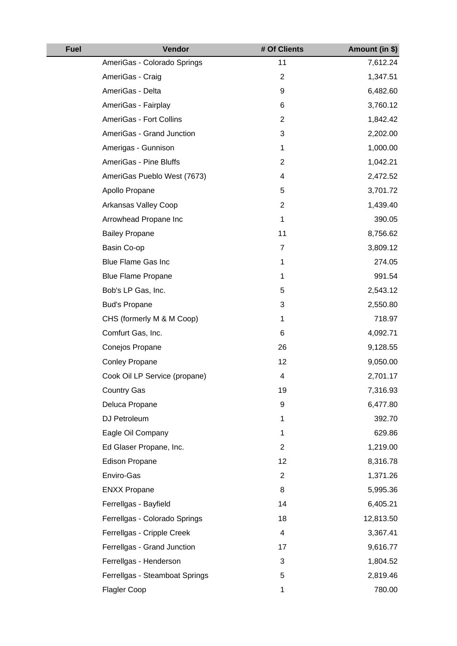| <b>Fuel</b> | Vendor                         | # Of Clients   | Amount (in \$) |
|-------------|--------------------------------|----------------|----------------|
|             | AmeriGas - Colorado Springs    | 11             | 7,612.24       |
|             | AmeriGas - Craig               | $\overline{c}$ | 1,347.51       |
|             | AmeriGas - Delta               | 9              | 6,482.60       |
|             | AmeriGas - Fairplay            | 6              | 3,760.12       |
|             | AmeriGas - Fort Collins        | $\overline{2}$ | 1,842.42       |
|             | AmeriGas - Grand Junction      | 3              | 2,202.00       |
|             | Amerigas - Gunnison            | $\mathbf 1$    | 1,000.00       |
|             | AmeriGas - Pine Bluffs         | $\overline{c}$ | 1,042.21       |
|             | AmeriGas Pueblo West (7673)    | 4              | 2,472.52       |
|             | Apollo Propane                 | 5              | 3,701.72       |
|             | Arkansas Valley Coop           | $\overline{c}$ | 1,439.40       |
|             | Arrowhead Propane Inc          | $\mathbf 1$    | 390.05         |
|             | <b>Bailey Propane</b>          | 11             | 8,756.62       |
|             | Basin Co-op                    | 7              | 3,809.12       |
|             | <b>Blue Flame Gas Inc</b>      | $\mathbf 1$    | 274.05         |
|             | <b>Blue Flame Propane</b>      | 1              | 991.54         |
|             | Bob's LP Gas, Inc.             | 5              | 2,543.12       |
|             | <b>Bud's Propane</b>           | 3              | 2,550.80       |
|             | CHS (formerly M & M Coop)      | 1              | 718.97         |
|             | Comfurt Gas, Inc.              | 6              | 4,092.71       |
|             | Conejos Propane                | 26             | 9,128.55       |
|             | <b>Conley Propane</b>          | 12             | 9,050.00       |
|             | Cook Oil LP Service (propane)  | 4              | 2,701.17       |
|             | <b>Country Gas</b>             | 19             | 7,316.93       |
|             | Deluca Propane                 | 9              | 6,477.80       |
|             | DJ Petroleum                   | 1              | 392.70         |
|             | Eagle Oil Company              | $\mathbf 1$    | 629.86         |
|             | Ed Glaser Propane, Inc.        | $\overline{c}$ | 1,219.00       |
|             | <b>Edison Propane</b>          | 12             | 8,316.78       |
|             | Enviro-Gas                     | $\overline{2}$ | 1,371.26       |
|             | <b>ENXX Propane</b>            | 8              | 5,995.36       |
|             | Ferrellgas - Bayfield          | 14             | 6,405.21       |
|             | Ferrellgas - Colorado Springs  | 18             | 12,813.50      |
|             | Ferrellgas - Cripple Creek     | 4              | 3,367.41       |
|             | Ferrellgas - Grand Junction    | 17             | 9,616.77       |
|             | Ferrellgas - Henderson         | 3              | 1,804.52       |
|             | Ferrellgas - Steamboat Springs | 5              | 2,819.46       |
|             | Flagler Coop                   | 1              | 780.00         |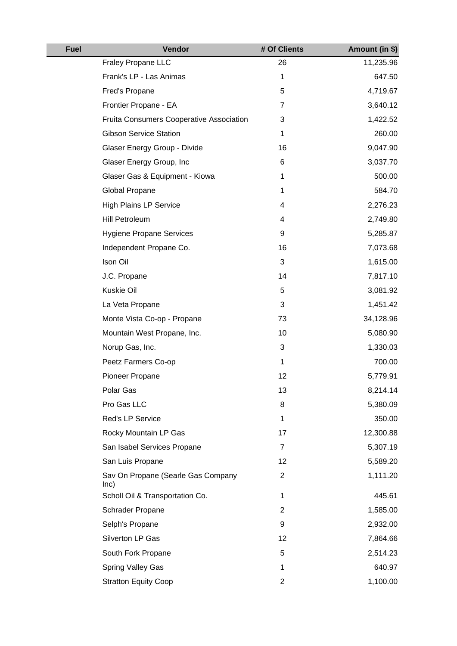| <b>Fuel</b> | Vendor                                          | # Of Clients   | Amount (in \$) |
|-------------|-------------------------------------------------|----------------|----------------|
|             | Fraley Propane LLC                              | 26             | 11,235.96      |
|             | Frank's LP - Las Animas                         | $\mathbf 1$    | 647.50         |
|             | Fred's Propane                                  | 5              | 4,719.67       |
|             | Frontier Propane - EA                           | 7              | 3,640.12       |
|             | <b>Fruita Consumers Cooperative Association</b> | 3              | 1,422.52       |
|             | <b>Gibson Service Station</b>                   | $\mathbf 1$    | 260.00         |
|             | Glaser Energy Group - Divide                    | 16             | 9,047.90       |
|             | Glaser Energy Group, Inc                        | 6              | 3,037.70       |
|             | Glaser Gas & Equipment - Kiowa                  | 1              | 500.00         |
|             | Global Propane                                  | $\mathbf 1$    | 584.70         |
|             | <b>High Plains LP Service</b>                   | 4              | 2,276.23       |
|             | Hill Petroleum                                  | 4              | 2,749.80       |
|             | <b>Hygiene Propane Services</b>                 | 9              | 5,285.87       |
|             | Independent Propane Co.                         | 16             | 7,073.68       |
|             | Ison Oil                                        | 3              | 1,615.00       |
|             | J.C. Propane                                    | 14             | 7,817.10       |
|             | Kuskie Oil                                      | 5              | 3,081.92       |
|             | La Veta Propane                                 | 3              | 1,451.42       |
|             | Monte Vista Co-op - Propane                     | 73             | 34,128.96      |
|             | Mountain West Propane, Inc.                     | 10             | 5,080.90       |
|             | Norup Gas, Inc.                                 | 3              | 1,330.03       |
|             | Peetz Farmers Co-op                             | $\mathbf 1$    | 700.00         |
|             | Pioneer Propane                                 | 12             | 5,779.91       |
|             | Polar Gas                                       | 13             | 8,214.14       |
|             | Pro Gas LLC                                     | 8              | 5,380.09       |
|             | Red's LP Service                                | $\mathbf 1$    | 350.00         |
|             | Rocky Mountain LP Gas                           | 17             | 12,300.88      |
|             | San Isabel Services Propane                     | 7              | 5,307.19       |
|             | San Luis Propane                                | 12             | 5,589.20       |
|             | Sav On Propane (Searle Gas Company<br>lnc)      | $\overline{2}$ | 1,111.20       |
|             | Scholl Oil & Transportation Co.                 | 1              | 445.61         |
|             | Schrader Propane                                | $\overline{2}$ | 1,585.00       |
|             | Selph's Propane                                 | 9              | 2,932.00       |
|             | Silverton LP Gas                                | 12             | 7,864.66       |
|             | South Fork Propane                              | 5              | 2,514.23       |
|             | Spring Valley Gas                               | 1              | 640.97         |
|             | <b>Stratton Equity Coop</b>                     | $\overline{2}$ | 1,100.00       |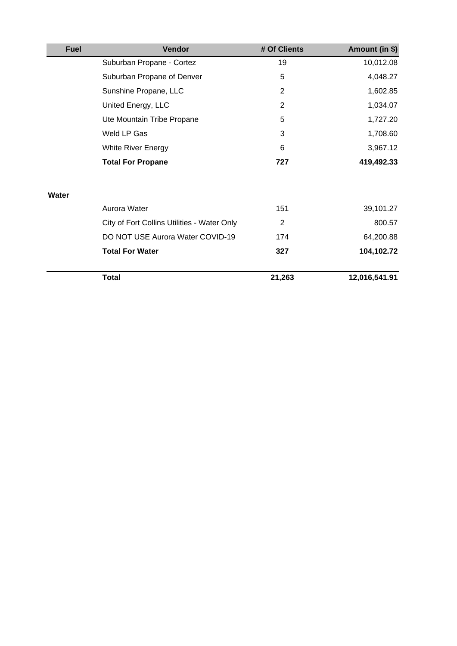| <b>Fuel</b> | <b>Vendor</b>                               | # Of Clients   | Amount (in \$) |
|-------------|---------------------------------------------|----------------|----------------|
|             | Suburban Propane - Cortez                   | 19             | 10,012.08      |
|             | Suburban Propane of Denver                  | 5              | 4,048.27       |
|             | Sunshine Propane, LLC                       | $\overline{2}$ | 1,602.85       |
|             | United Energy, LLC                          | 2              | 1,034.07       |
|             | Ute Mountain Tribe Propane                  | 5              | 1,727.20       |
|             | Weld LP Gas                                 | 3              | 1,708.60       |
|             | <b>White River Energy</b>                   | 6              | 3,967.12       |
|             | <b>Total For Propane</b>                    | 727            | 419,492.33     |
| Water       |                                             |                |                |
|             | Aurora Water                                | 151            | 39,101.27      |
|             | City of Fort Collins Utilities - Water Only | $\overline{2}$ | 800.57         |
|             | DO NOT USE Aurora Water COVID-19            | 174            | 64,200.88      |
|             | <b>Total For Water</b>                      | 327            | 104,102.72     |
|             | <b>Total</b>                                | 21,263         | 12,016,541.91  |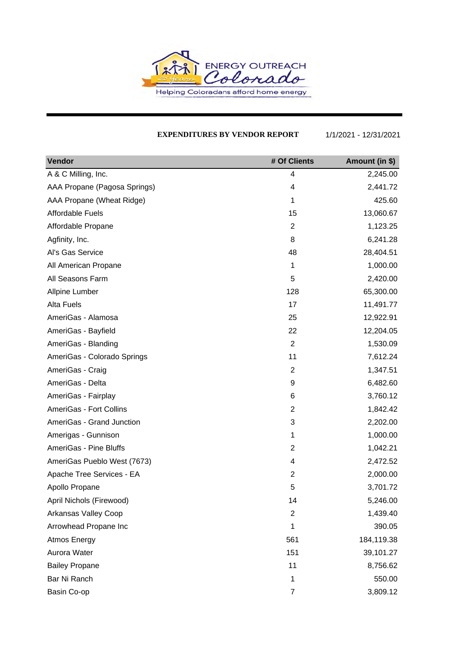

#### **EXPENDITURES BY VENDOR REPORT** 1/1/2021 - 12/31/2021

| Vendor                       | # Of Clients   | Amount (in \$) |
|------------------------------|----------------|----------------|
| A & C Milling, Inc.          | 4              | 2,245.00       |
| AAA Propane (Pagosa Springs) | 4              | 2,441.72       |
| AAA Propane (Wheat Ridge)    | 1              | 425.60         |
| Affordable Fuels             | 15             | 13,060.67      |
| Affordable Propane           | $\overline{2}$ | 1,123.25       |
| Agfinity, Inc.               | 8              | 6,241.28       |
| Al's Gas Service             | 48             | 28,404.51      |
| All American Propane         | 1              | 1,000.00       |
| All Seasons Farm             | 5              | 2,420.00       |
| Allpine Lumber               | 128            | 65,300.00      |
| <b>Alta Fuels</b>            | 17             | 11,491.77      |
| AmeriGas - Alamosa           | 25             | 12,922.91      |
| AmeriGas - Bayfield          | 22             | 12,204.05      |
| AmeriGas - Blanding          | $\overline{2}$ | 1,530.09       |
| AmeriGas - Colorado Springs  | 11             | 7,612.24       |
| AmeriGas - Craig             | $\overline{2}$ | 1,347.51       |
| AmeriGas - Delta             | 9              | 6,482.60       |
| AmeriGas - Fairplay          | 6              | 3,760.12       |
| AmeriGas - Fort Collins      | 2              | 1,842.42       |
| AmeriGas - Grand Junction    | 3              | 2,202.00       |
| Amerigas - Gunnison          | 1              | 1,000.00       |
| AmeriGas - Pine Bluffs       | $\overline{2}$ | 1,042.21       |
| AmeriGas Pueblo West (7673)  | 4              | 2,472.52       |
| Apache Tree Services - EA    | $\overline{2}$ | 2,000.00       |
| Apollo Propane               | 5              | 3,701.72       |
| April Nichols (Firewood)     | 14             | 5,246.00       |
| Arkansas Valley Coop         | $\mathbf 2$    | 1,439.40       |
| Arrowhead Propane Inc        | 1              | 390.05         |
| <b>Atmos Energy</b>          | 561            | 184,119.38     |
| Aurora Water                 | 151            | 39,101.27      |
| <b>Bailey Propane</b>        | 11             | 8,756.62       |
| Bar Ni Ranch                 | 1              | 550.00         |
| Basin Co-op                  | $\overline{7}$ | 3,809.12       |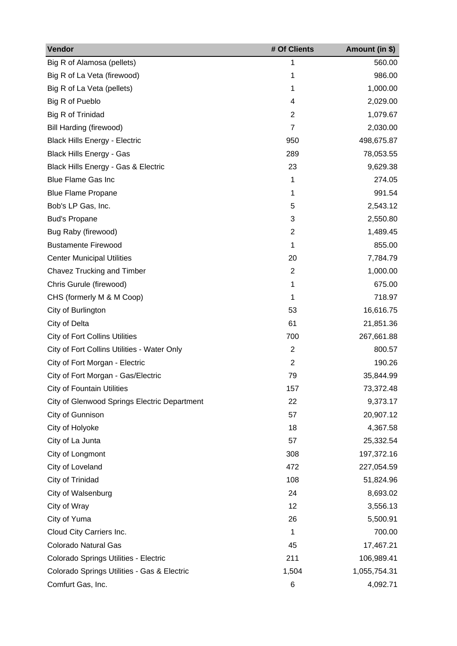| Vendor                                       | # Of Clients   | Amount (in \$) |
|----------------------------------------------|----------------|----------------|
| Big R of Alamosa (pellets)                   | 1              | 560.00         |
| Big R of La Veta (firewood)                  | 1              | 986.00         |
| Big R of La Veta (pellets)                   | 1              | 1,000.00       |
| Big R of Pueblo                              | 4              | 2,029.00       |
| Big R of Trinidad                            | 2              | 1,079.67       |
| Bill Harding (firewood)                      | $\overline{7}$ | 2,030.00       |
| <b>Black Hills Energy - Electric</b>         | 950            | 498,675.87     |
| <b>Black Hills Energy - Gas</b>              | 289            | 78,053.55      |
| Black Hills Energy - Gas & Electric          | 23             | 9,629.38       |
| <b>Blue Flame Gas Inc</b>                    | 1              | 274.05         |
| <b>Blue Flame Propane</b>                    | 1              | 991.54         |
| Bob's LP Gas, Inc.                           | 5              | 2,543.12       |
| <b>Bud's Propane</b>                         | 3              | 2,550.80       |
| Bug Raby (firewood)                          | $\overline{2}$ | 1,489.45       |
| <b>Bustamente Firewood</b>                   | 1              | 855.00         |
| <b>Center Municipal Utilities</b>            | 20             | 7,784.79       |
| Chavez Trucking and Timber                   | $\overline{2}$ | 1,000.00       |
| Chris Gurule (firewood)                      | 1              | 675.00         |
| CHS (formerly M & M Coop)                    | 1              | 718.97         |
| City of Burlington                           | 53             | 16,616.75      |
| City of Delta                                | 61             | 21,851.36      |
| <b>City of Fort Collins Utilities</b>        | 700            | 267,661.88     |
| City of Fort Collins Utilities - Water Only  | $\overline{2}$ | 800.57         |
| City of Fort Morgan - Electric               | $\overline{2}$ | 190.26         |
| City of Fort Morgan - Gas/Electric           | 79             | 35,844.99      |
| <b>City of Fountain Utilities</b>            | 157            | 73,372.48      |
| City of Glenwood Springs Electric Department | 22             | 9,373.17       |
| City of Gunnison                             | 57             | 20,907.12      |
| City of Holyoke                              | 18             | 4,367.58       |
| City of La Junta                             | 57             | 25,332.54      |
| City of Longmont                             | 308            | 197,372.16     |
| City of Loveland                             | 472            | 227,054.59     |
| City of Trinidad                             | 108            | 51,824.96      |
| City of Walsenburg                           | 24             | 8,693.02       |
| City of Wray                                 | 12             | 3,556.13       |
| City of Yuma                                 | 26             | 5,500.91       |
| Cloud City Carriers Inc.                     | 1              | 700.00         |
| Colorado Natural Gas                         | 45             | 17,467.21      |
| Colorado Springs Utilities - Electric        | 211            | 106,989.41     |
| Colorado Springs Utilities - Gas & Electric  | 1,504          | 1,055,754.31   |
| Comfurt Gas, Inc.                            | 6              | 4,092.71       |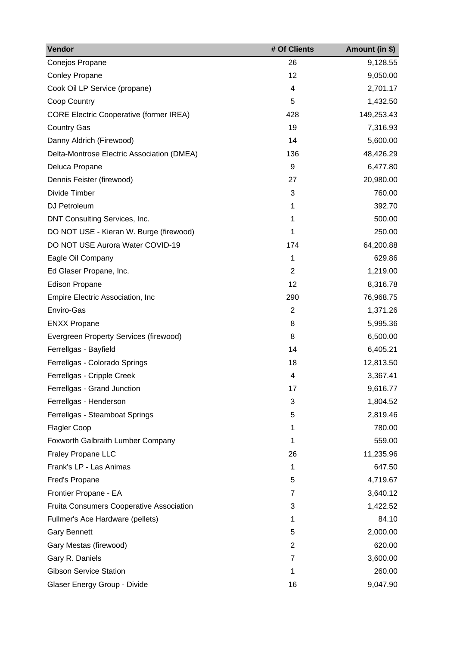| Vendor                                          | # Of Clients   | Amount (in \$) |
|-------------------------------------------------|----------------|----------------|
| Conejos Propane                                 | 26             | 9,128.55       |
| <b>Conley Propane</b>                           | 12             | 9,050.00       |
| Cook Oil LP Service (propane)                   | 4              | 2,701.17       |
| Coop Country                                    | 5              | 1,432.50       |
| <b>CORE Electric Cooperative (former IREA)</b>  | 428            | 149,253.43     |
| <b>Country Gas</b>                              | 19             | 7,316.93       |
| Danny Aldrich (Firewood)                        | 14             | 5,600.00       |
| Delta-Montrose Electric Association (DMEA)      | 136            | 48,426.29      |
| Deluca Propane                                  | 9              | 6,477.80       |
| Dennis Feister (firewood)                       | 27             | 20,980.00      |
| Divide Timber                                   | 3              | 760.00         |
| DJ Petroleum                                    | 1              | 392.70         |
| DNT Consulting Services, Inc.                   | 1              | 500.00         |
| DO NOT USE - Kieran W. Burge (firewood)         | 1              | 250.00         |
| DO NOT USE Aurora Water COVID-19                | 174            | 64,200.88      |
| Eagle Oil Company                               | 1              | 629.86         |
| Ed Glaser Propane, Inc.                         | $\overline{2}$ | 1,219.00       |
| <b>Edison Propane</b>                           | 12             | 8,316.78       |
| Empire Electric Association, Inc                | 290            | 76,968.75      |
| Enviro-Gas                                      | $\overline{2}$ | 1,371.26       |
| <b>ENXX Propane</b>                             | 8              | 5,995.36       |
| Evergreen Property Services (firewood)          | 8              | 6,500.00       |
| Ferrellgas - Bayfield                           | 14             | 6,405.21       |
| Ferrellgas - Colorado Springs                   | 18             | 12,813.50      |
| Ferrellgas - Cripple Creek                      | 4              | 3,367.41       |
| Ferrellgas - Grand Junction                     | 17             | 9,616.77       |
| Ferrellgas - Henderson                          | 3              | 1,804.52       |
| Ferrellgas - Steamboat Springs                  | 5              | 2,819.46       |
| <b>Flagler Coop</b>                             | 1              | 780.00         |
| Foxworth Galbraith Lumber Company               | 1              | 559.00         |
| <b>Fraley Propane LLC</b>                       | 26             | 11,235.96      |
| Frank's LP - Las Animas                         | 1              | 647.50         |
| Fred's Propane                                  | 5              | 4,719.67       |
| Frontier Propane - EA                           | $\overline{7}$ | 3,640.12       |
| <b>Fruita Consumers Cooperative Association</b> | 3              | 1,422.52       |
| Fullmer's Ace Hardware (pellets)                | 1              | 84.10          |
| <b>Gary Bennett</b>                             | 5              | 2,000.00       |
| Gary Mestas (firewood)                          | $\overline{2}$ | 620.00         |
| Gary R. Daniels                                 | 7              | 3,600.00       |
| <b>Gibson Service Station</b>                   | 1              | 260.00         |
| Glaser Energy Group - Divide                    | 16             | 9,047.90       |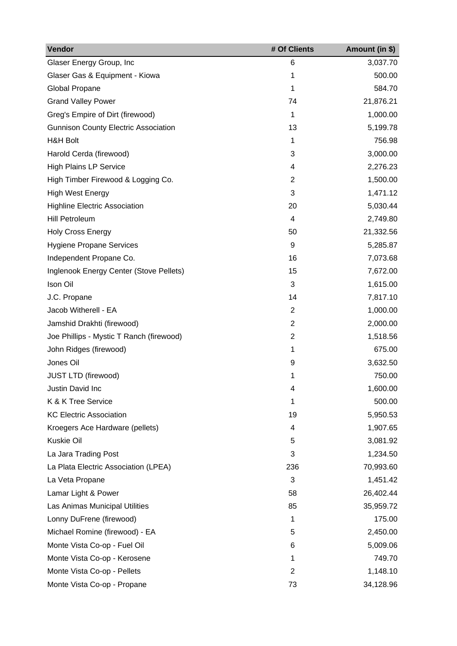| Vendor                                      | # Of Clients   | Amount (in \$) |
|---------------------------------------------|----------------|----------------|
| Glaser Energy Group, Inc                    | 6              | 3,037.70       |
| Glaser Gas & Equipment - Kiowa              | 1              | 500.00         |
| Global Propane                              | 1              | 584.70         |
| <b>Grand Valley Power</b>                   | 74             | 21,876.21      |
| Greg's Empire of Dirt (firewood)            | 1              | 1,000.00       |
| <b>Gunnison County Electric Association</b> | 13             | 5,199.78       |
| <b>H&amp;H Bolt</b>                         | 1              | 756.98         |
| Harold Cerda (firewood)                     | 3              | 3,000.00       |
| <b>High Plains LP Service</b>               | 4              | 2,276.23       |
| High Timber Firewood & Logging Co.          | 2              | 1,500.00       |
| <b>High West Energy</b>                     | 3              | 1,471.12       |
| <b>Highline Electric Association</b>        | 20             | 5,030.44       |
| Hill Petroleum                              | 4              | 2,749.80       |
| <b>Holy Cross Energy</b>                    | 50             | 21,332.56      |
| <b>Hygiene Propane Services</b>             | 9              | 5,285.87       |
| Independent Propane Co.                     | 16             | 7,073.68       |
| Inglenook Energy Center (Stove Pellets)     | 15             | 7,672.00       |
| Ison Oil                                    | 3              | 1,615.00       |
| J.C. Propane                                | 14             | 7,817.10       |
| Jacob Witherell - EA                        | $\overline{2}$ | 1,000.00       |
| Jamshid Drakhti (firewood)                  | $\overline{2}$ | 2,000.00       |
| Joe Phillips - Mystic T Ranch (firewood)    | $\overline{2}$ | 1,518.56       |
| John Ridges (firewood)                      | 1              | 675.00         |
| Jones Oil                                   | 9              | 3,632.50       |
| <b>JUST LTD (firewood)</b>                  | 1              | 750.00         |
| Justin David Inc                            | 4              | 1,600.00       |
| K & K Tree Service                          | 1              | 500.00         |
| <b>KC Electric Association</b>              | 19             | 5,950.53       |
| Kroegers Ace Hardware (pellets)             | 4              | 1,907.65       |
| Kuskie Oil                                  | 5              | 3,081.92       |
| La Jara Trading Post                        | 3              | 1,234.50       |
| La Plata Electric Association (LPEA)        | 236            | 70,993.60      |
| La Veta Propane                             | 3              | 1,451.42       |
| Lamar Light & Power                         | 58             | 26,402.44      |
| Las Animas Municipal Utilities              | 85             | 35,959.72      |
| Lonny DuFrene (firewood)                    | 1              | 175.00         |
| Michael Romine (firewood) - EA              | 5              | 2,450.00       |
| Monte Vista Co-op - Fuel Oil                | 6              | 5,009.06       |
| Monte Vista Co-op - Kerosene                | 1              | 749.70         |
| Monte Vista Co-op - Pellets                 | $\overline{2}$ | 1,148.10       |
| Monte Vista Co-op - Propane                 | 73             | 34,128.96      |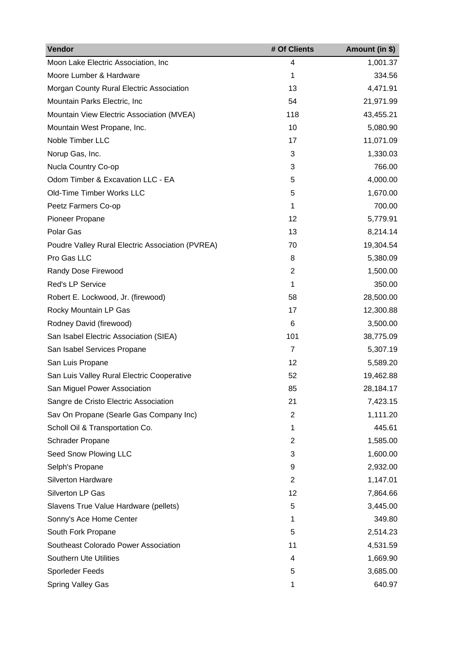| Vendor                                           | # Of Clients   | Amount (in \$) |
|--------------------------------------------------|----------------|----------------|
| Moon Lake Electric Association, Inc              | 4              | 1,001.37       |
| Moore Lumber & Hardware                          | 1              | 334.56         |
| Morgan County Rural Electric Association         | 13             | 4,471.91       |
| Mountain Parks Electric, Inc                     | 54             | 21,971.99      |
| Mountain View Electric Association (MVEA)        | 118            | 43,455.21      |
| Mountain West Propane, Inc.                      | 10             | 5,080.90       |
| Noble Timber LLC                                 | 17             | 11,071.09      |
| Norup Gas, Inc.                                  | 3              | 1,330.03       |
| Nucla Country Co-op                              | 3              | 766.00         |
| Odom Timber & Excavation LLC - EA                | 5              | 4,000.00       |
| Old-Time Timber Works LLC                        | 5              | 1,670.00       |
| Peetz Farmers Co-op                              | 1              | 700.00         |
| Pioneer Propane                                  | 12             | 5,779.91       |
| Polar Gas                                        | 13             | 8,214.14       |
| Poudre Valley Rural Electric Association (PVREA) | 70             | 19,304.54      |
| Pro Gas LLC                                      | 8              | 5,380.09       |
| Randy Dose Firewood                              | $\overline{2}$ | 1,500.00       |
| Red's LP Service                                 | 1              | 350.00         |
| Robert E. Lockwood, Jr. (firewood)               | 58             | 28,500.00      |
| Rocky Mountain LP Gas                            | 17             | 12,300.88      |
| Rodney David (firewood)                          | 6              | 3,500.00       |
| San Isabel Electric Association (SIEA)           | 101            | 38,775.09      |
| San Isabel Services Propane                      | 7              | 5,307.19       |
| San Luis Propane                                 | 12             | 5,589.20       |
| San Luis Valley Rural Electric Cooperative       | 52             | 19,462.88      |
| San Miguel Power Association                     | 85             | 28,184.17      |
| Sangre de Cristo Electric Association            | 21             | 7,423.15       |
| Sav On Propane (Searle Gas Company Inc)          | $\overline{2}$ | 1,111.20       |
| Scholl Oil & Transportation Co.                  | 1              | 445.61         |
| Schrader Propane                                 | 2              | 1,585.00       |
| Seed Snow Plowing LLC                            | 3              | 1,600.00       |
| Selph's Propane                                  | 9              | 2,932.00       |
| <b>Silverton Hardware</b>                        | $\overline{2}$ | 1,147.01       |
| Silverton LP Gas                                 | 12             | 7,864.66       |
| Slavens True Value Hardware (pellets)            | 5              | 3,445.00       |
| Sonny's Ace Home Center                          | 1              | 349.80         |
| South Fork Propane                               | 5              | 2,514.23       |
| Southeast Colorado Power Association             | 11             | 4,531.59       |
| <b>Southern Ute Utilities</b>                    | 4              | 1,669.90       |
| Sporleder Feeds                                  | 5              | 3,685.00       |
| Spring Valley Gas                                | 1              | 640.97         |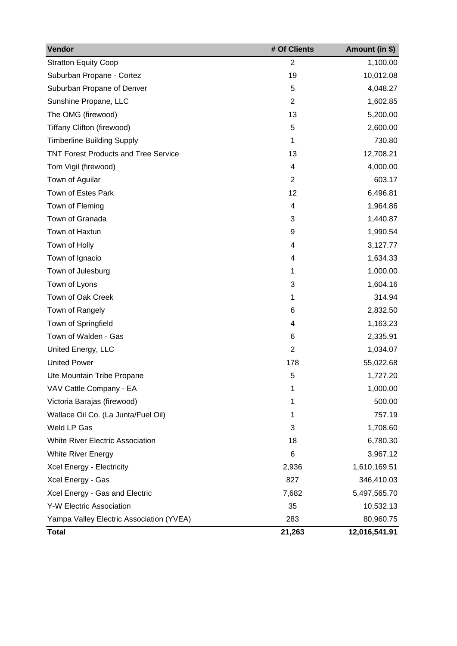| Vendor                                      | # Of Clients   | Amount (in \$) |
|---------------------------------------------|----------------|----------------|
| <b>Stratton Equity Coop</b>                 | $\overline{2}$ | 1,100.00       |
| Suburban Propane - Cortez                   | 19             | 10,012.08      |
| Suburban Propane of Denver                  | 5              | 4,048.27       |
| Sunshine Propane, LLC                       | $\overline{2}$ | 1,602.85       |
| The OMG (firewood)                          | 13             | 5,200.00       |
| Tiffany Clifton (firewood)                  | 5              | 2,600.00       |
| <b>Timberline Building Supply</b>           | 1              | 730.80         |
| <b>TNT Forest Products and Tree Service</b> | 13             | 12,708.21      |
| Tom Vigil (firewood)                        | 4              | 4,000.00       |
| Town of Aguilar                             | $\overline{2}$ | 603.17         |
| Town of Estes Park                          | 12             | 6,496.81       |
| Town of Fleming                             | 4              | 1,964.86       |
| Town of Granada                             | 3              | 1,440.87       |
| Town of Haxtun                              | 9              | 1,990.54       |
| Town of Holly                               | 4              | 3,127.77       |
| Town of Ignacio                             | 4              | 1,634.33       |
| Town of Julesburg                           | 1              | 1,000.00       |
| Town of Lyons                               | 3              | 1,604.16       |
| Town of Oak Creek                           | 1              | 314.94         |
| Town of Rangely                             | 6              | 2,832.50       |
| Town of Springfield                         | 4              | 1,163.23       |
| Town of Walden - Gas                        | 6              | 2,335.91       |
| United Energy, LLC                          | $\overline{2}$ | 1,034.07       |
| <b>United Power</b>                         | 178            | 55,022.68      |
| Ute Mountain Tribe Propane                  | 5              | 1,727.20       |
| VAV Cattle Company - EA                     | 1              | 1,000.00       |
| Victoria Barajas (firewood)                 | 1              | 500.00         |
| Wallace Oil Co. (La Junta/Fuel Oil)         | 1              | 757.19         |
| Weld LP Gas                                 | 3              | 1,708.60       |
| <b>White River Electric Association</b>     | 18             | 6,780.30       |
| White River Energy                          | 6              | 3,967.12       |
| Xcel Energy - Electricity                   | 2,936          | 1,610,169.51   |
| Xcel Energy - Gas                           | 827            | 346,410.03     |
| Xcel Energy - Gas and Electric              | 7,682          | 5,497,565.70   |
| <b>Y-W Electric Association</b>             | 35             | 10,532.13      |
| Yampa Valley Electric Association (YVEA)    | 283            | 80,960.75      |
| <b>Total</b>                                | 21,263         | 12,016,541.91  |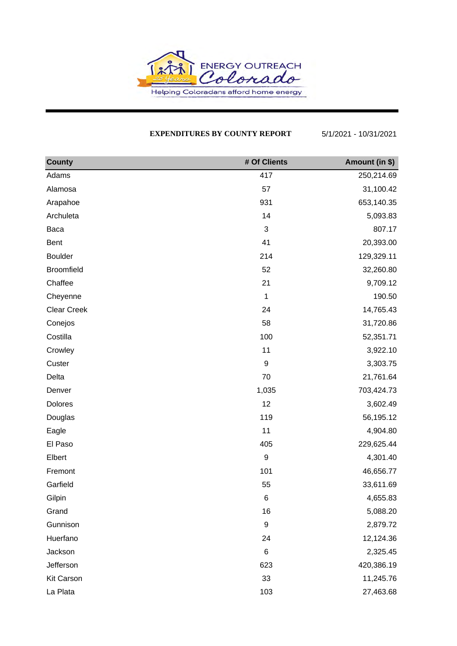

### **EXPENDITURES BY COUNTY REPORT** 5/1/2021 - 10/31/2021

| <b>County</b>     | # Of Clients     | Amount (in \$) |
|-------------------|------------------|----------------|
| Adams             | 417              | 250,214.69     |
| Alamosa           | 57               | 31,100.42      |
| Arapahoe          | 931              | 653,140.35     |
| Archuleta         | 14               | 5,093.83       |
| Baca              | 3                | 807.17         |
| Bent              | 41               | 20,393.00      |
| <b>Boulder</b>    | 214              | 129,329.11     |
| <b>Broomfield</b> | 52               | 32,260.80      |
| Chaffee           | 21               | 9,709.12       |
| Cheyenne          | 1                | 190.50         |
| Clear Creek       | 24               | 14,765.43      |
| Conejos           | 58               | 31,720.86      |
| Costilla          | 100              | 52,351.71      |
| Crowley           | 11               | 3,922.10       |
| Custer            | $\boldsymbol{9}$ | 3,303.75       |
| Delta             | 70               | 21,761.64      |
| Denver            | 1,035            | 703,424.73     |
| Dolores           | 12               | 3,602.49       |
| Douglas           | 119              | 56,195.12      |
| Eagle             | 11               | 4,904.80       |
| El Paso           | 405              | 229,625.44     |
| Elbert            | $\boldsymbol{9}$ | 4,301.40       |
| Fremont           | 101              | 46,656.77      |
| Garfield          | 55               | 33,611.69      |
| Gilpin            | $\,6$            | 4,655.83       |
| Grand             | 16               | 5,088.20       |
| Gunnison          | $\boldsymbol{9}$ | 2,879.72       |
| Huerfano          | 24               | 12,124.36      |
| Jackson           | 6                | 2,325.45       |
| Jefferson         | 623              | 420,386.19     |
| Kit Carson        | 33               | 11,245.76      |
| La Plata          | 103              | 27,463.68      |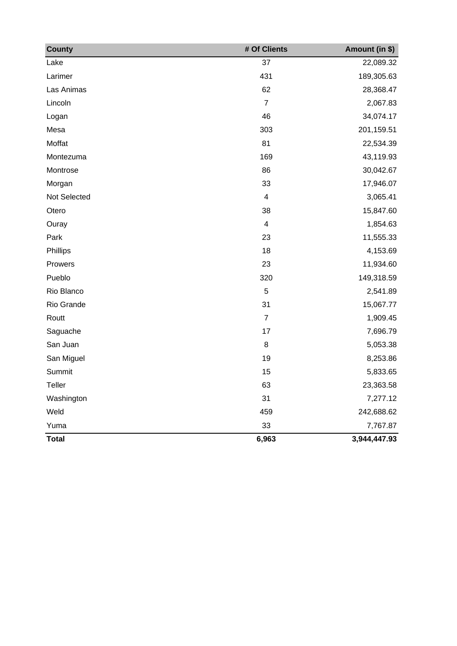| <b>County</b> | # Of Clients             | Amount (in \$) |
|---------------|--------------------------|----------------|
| Lake          | 37                       | 22,089.32      |
| Larimer       | 431                      | 189,305.63     |
| Las Animas    | 62                       | 28,368.47      |
| Lincoln       | $\overline{7}$           | 2,067.83       |
| Logan         | 46                       | 34,074.17      |
| Mesa          | 303                      | 201,159.51     |
| Moffat        | 81                       | 22,534.39      |
| Montezuma     | 169                      | 43,119.93      |
| Montrose      | 86                       | 30,042.67      |
| Morgan        | 33                       | 17,946.07      |
| Not Selected  | $\overline{\mathcal{A}}$ | 3,065.41       |
| Otero         | 38                       | 15,847.60      |
| Ouray         | $\overline{\mathcal{A}}$ | 1,854.63       |
| Park          | 23                       | 11,555.33      |
| Phillips      | 18                       | 4,153.69       |
| Prowers       | 23                       | 11,934.60      |
| Pueblo        | 320                      | 149,318.59     |
| Rio Blanco    | 5                        | 2,541.89       |
| Rio Grande    | 31                       | 15,067.77      |
| Routt         | $\overline{7}$           | 1,909.45       |
| Saguache      | 17                       | 7,696.79       |
| San Juan      | 8                        | 5,053.38       |
| San Miguel    | 19                       | 8,253.86       |
| Summit        | 15                       | 5,833.65       |
| <b>Teller</b> | 63                       | 23,363.58      |
| Washington    | 31                       | 7,277.12       |
| Weld          | 459                      | 242,688.62     |
| Yuma          | 33                       | 7,767.87       |
| <b>Total</b>  | 6,963                    | 3,944,447.93   |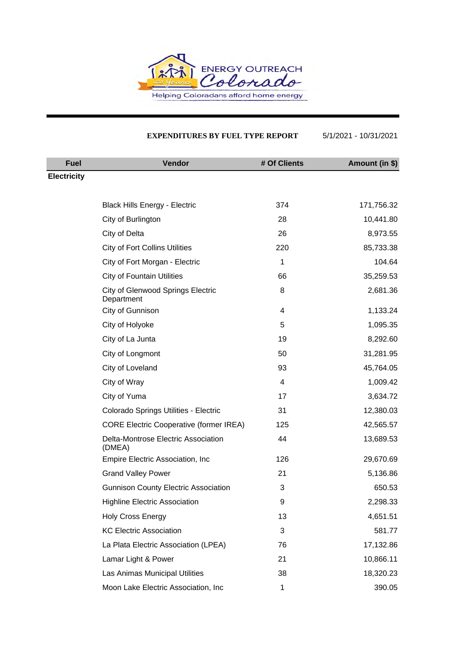

#### **EXPENDITURES BY FUEL TYPE REPORT** 5/1/2021 - 10/31/2021

| <b>Fuel</b>        | <b>Vendor</b>                                          | # Of Clients | Amount (in \$) |
|--------------------|--------------------------------------------------------|--------------|----------------|
| <b>Electricity</b> |                                                        |              |                |
|                    |                                                        |              |                |
|                    | <b>Black Hills Energy - Electric</b>                   | 374          | 171,756.32     |
|                    | City of Burlington                                     | 28           | 10,441.80      |
|                    | City of Delta                                          | 26           | 8,973.55       |
|                    | <b>City of Fort Collins Utilities</b>                  | 220          | 85,733.38      |
|                    | City of Fort Morgan - Electric                         | 1            | 104.64         |
|                    | <b>City of Fountain Utilities</b>                      | 66           | 35,259.53      |
|                    | <b>City of Glenwood Springs Electric</b><br>Department | 8            | 2,681.36       |
|                    | City of Gunnison                                       | 4            | 1,133.24       |
|                    | City of Holyoke                                        | 5            | 1,095.35       |
|                    | City of La Junta                                       | 19           | 8,292.60       |
|                    | City of Longmont                                       | 50           | 31,281.95      |
|                    | City of Loveland                                       | 93           | 45,764.05      |
|                    | City of Wray                                           | 4            | 1,009.42       |
|                    | City of Yuma                                           | 17           | 3,634.72       |
|                    | Colorado Springs Utilities - Electric                  | 31           | 12,380.03      |
|                    | <b>CORE Electric Cooperative (former IREA)</b>         | 125          | 42,565.57      |
|                    | Delta-Montrose Electric Association<br>(DMEA)          | 44           | 13,689.53      |
|                    | Empire Electric Association, Inc.                      | 126          | 29,670.69      |
|                    | <b>Grand Valley Power</b>                              | 21           | 5,136.86       |
|                    | <b>Gunnison County Electric Association</b>            | 3            | 650.53         |
|                    | <b>Highline Electric Association</b>                   | 9            | 2,298.33       |
|                    | <b>Holy Cross Energy</b>                               | 13           | 4,651.51       |
|                    | <b>KC Electric Association</b>                         | 3            | 581.77         |
|                    | La Plata Electric Association (LPEA)                   | 76           | 17,132.86      |
|                    | Lamar Light & Power                                    | 21           | 10,866.11      |
|                    | Las Animas Municipal Utilities                         | 38           | 18,320.23      |
|                    | Moon Lake Electric Association, Inc                    | 1            | 390.05         |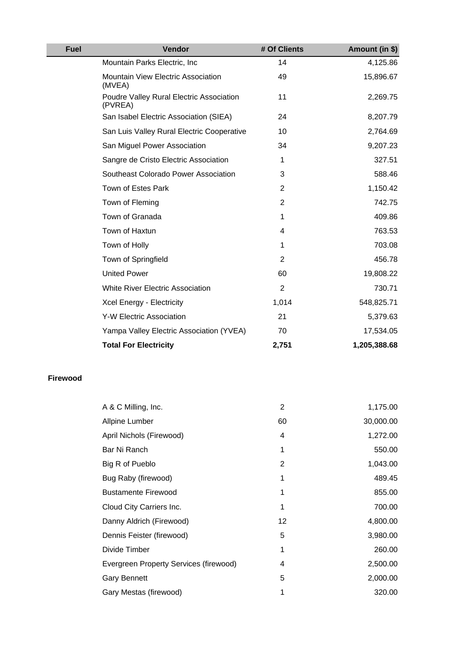| <b>Fuel</b> | <b>Vendor</b>                                       | # Of Clients   | Amount (in \$) |
|-------------|-----------------------------------------------------|----------------|----------------|
|             | Mountain Parks Electric, Inc.                       | 14             | 4,125.86       |
|             | Mountain View Electric Association<br>(MVEA)        | 49             | 15,896.67      |
|             | Poudre Valley Rural Electric Association<br>(PVREA) | 11             | 2,269.75       |
|             | San Isabel Electric Association (SIEA)              | 24             | 8,207.79       |
|             | San Luis Valley Rural Electric Cooperative          | 10             | 2,764.69       |
|             | San Miguel Power Association                        | 34             | 9,207.23       |
|             | Sangre de Cristo Electric Association               | 1              | 327.51         |
|             | Southeast Colorado Power Association                | 3              | 588.46         |
|             | Town of Estes Park                                  | 2              | 1,150.42       |
|             | Town of Fleming                                     | $\overline{2}$ | 742.75         |
|             | Town of Granada                                     | 1              | 409.86         |
|             | Town of Haxtun                                      | 4              | 763.53         |
|             | Town of Holly                                       | 1              | 703.08         |
|             | Town of Springfield                                 | 2              | 456.78         |
|             | <b>United Power</b>                                 | 60             | 19,808.22      |
|             | White River Electric Association                    | $\overline{2}$ | 730.71         |
|             | Xcel Energy - Electricity                           | 1,014          | 548,825.71     |
|             | <b>Y-W Electric Association</b>                     | 21             | 5,379.63       |
|             | Yampa Valley Electric Association (YVEA)            | 70             | 17,534.05      |
|             | <b>Total For Electricity</b>                        | 2,751          | 1,205,388.68   |

#### **Firewood**

| A & C Milling, Inc.                    | 2  | 1,175.00  |
|----------------------------------------|----|-----------|
| <b>Allpine Lumber</b>                  | 60 | 30,000.00 |
| April Nichols (Firewood)               | 4  | 1,272.00  |
| Bar Ni Ranch                           | 1  | 550.00    |
| Big R of Pueblo                        | 2  | 1,043.00  |
| Bug Raby (firewood)                    | 1  | 489.45    |
| <b>Bustamente Firewood</b>             | 1  | 855.00    |
| Cloud City Carriers Inc.               | 1  | 700.00    |
| Danny Aldrich (Firewood)               | 12 | 4,800.00  |
| Dennis Feister (firewood)              | 5  | 3,980.00  |
| Divide Timber                          | 1  | 260.00    |
| Evergreen Property Services (firewood) | 4  | 2,500.00  |
| <b>Gary Bennett</b>                    | 5  | 2,000.00  |
| Gary Mestas (firewood)                 |    | 320.00    |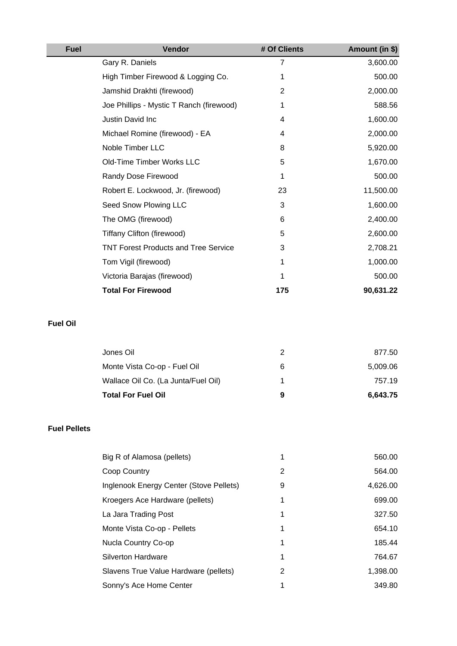| <b>Fuel</b>     | Vendor                                      | # Of Clients   | Amount (in \$) |
|-----------------|---------------------------------------------|----------------|----------------|
|                 | Gary R. Daniels                             | 7              | 3,600.00       |
|                 | High Timber Firewood & Logging Co.          | 1              | 500.00         |
|                 | Jamshid Drakhti (firewood)                  | $\overline{2}$ | 2,000.00       |
|                 | Joe Phillips - Mystic T Ranch (firewood)    | 1              | 588.56         |
|                 | Justin David Inc                            | 4              | 1,600.00       |
|                 | Michael Romine (firewood) - EA              | 4              | 2,000.00       |
|                 | Noble Timber LLC                            | 8              | 5,920.00       |
|                 | Old-Time Timber Works LLC                   | 5              | 1,670.00       |
|                 | Randy Dose Firewood                         | 1              | 500.00         |
|                 | Robert E. Lockwood, Jr. (firewood)          | 23             | 11,500.00      |
|                 | Seed Snow Plowing LLC                       | 3              | 1,600.00       |
|                 | The OMG (firewood)                          | 6              | 2,400.00       |
|                 | Tiffany Clifton (firewood)                  | 5              | 2,600.00       |
|                 | <b>TNT Forest Products and Tree Service</b> | 3              | 2,708.21       |
|                 | Tom Vigil (firewood)                        | 1              | 1,000.00       |
|                 | Victoria Barajas (firewood)                 | 1              | 500.00         |
|                 | <b>Total For Firewood</b>                   | 175            | 90,631.22      |
| <b>Fuel Oil</b> |                                             |                |                |
|                 | Jones Oil                                   | $\overline{2}$ | 877.50         |

| <b>Total For Fuel Oil</b>           | 9 | 6,643.75 |
|-------------------------------------|---|----------|
| Wallace Oil Co. (La Junta/Fuel Oil) |   | 757.19   |
| Monte Vista Co-op - Fuel Oil        | 6 | 5,009.06 |
|                                     |   |          |

## **Fuel Pellets**

| Big R of Alamosa (pellets)              |   | 560.00   |
|-----------------------------------------|---|----------|
| Coop Country                            | 2 | 564.00   |
| Inglenook Energy Center (Stove Pellets) | 9 | 4,626.00 |
| Kroegers Ace Hardware (pellets)         |   | 699.00   |
| La Jara Trading Post                    | 1 | 327.50   |
| Monte Vista Co-op - Pellets             | 1 | 654.10   |
| Nucla Country Co-op                     | 1 | 185.44   |
| <b>Silverton Hardware</b>               | 1 | 764.67   |
| Slavens True Value Hardware (pellets)   | 2 | 1,398.00 |
| Sonny's Ace Home Center                 |   | 349.80   |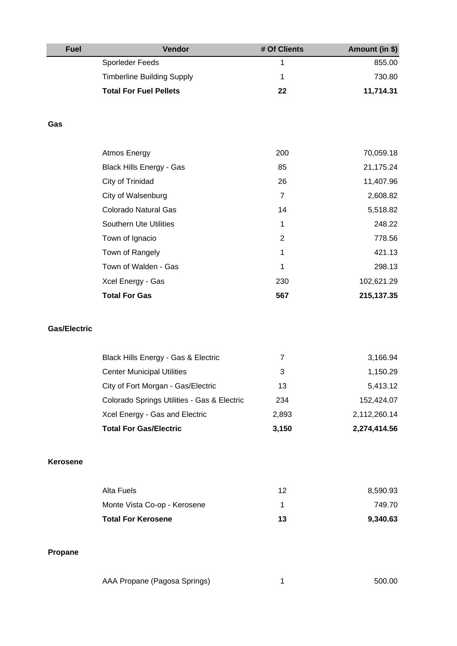| <b>Fuel</b>         | Vendor                                      | # Of Clients   | Amount (in \$) |
|---------------------|---------------------------------------------|----------------|----------------|
|                     | <b>Sporleder Feeds</b>                      | 1              | 855.00         |
|                     | <b>Timberline Building Supply</b>           | 1              | 730.80         |
|                     | <b>Total For Fuel Pellets</b>               | 22             | 11,714.31      |
|                     |                                             |                |                |
| Gas                 |                                             |                |                |
|                     | <b>Atmos Energy</b>                         | 200            | 70,059.18      |
|                     | <b>Black Hills Energy - Gas</b>             | 85             | 21,175.24      |
|                     | City of Trinidad                            | 26             | 11,407.96      |
|                     | City of Walsenburg                          | $\overline{7}$ | 2,608.82       |
|                     | Colorado Natural Gas                        | 14             | 5,518.82       |
|                     | <b>Southern Ute Utilities</b>               | 1              | 248.22         |
|                     | Town of Ignacio                             | $\overline{2}$ | 778.56         |
|                     | Town of Rangely                             | 1              | 421.13         |
|                     | Town of Walden - Gas                        | 1              | 298.13         |
|                     | Xcel Energy - Gas                           | 230            | 102,621.29     |
|                     | <b>Total For Gas</b>                        | 567            | 215, 137. 35   |
| <b>Gas/Electric</b> |                                             |                |                |
|                     | Black Hills Energy - Gas & Electric         | $\overline{7}$ | 3,166.94       |
|                     | <b>Center Municipal Utilities</b>           | 3              | 1,150.29       |
|                     | City of Fort Morgan - Gas/Electric          | 13             | 5,413.12       |
|                     | Colorado Springs Utilities - Gas & Electric | 234            | 152,424.07     |
|                     | Xcel Energy - Gas and Electric              | 2,893          | 2,112,260.14   |
|                     | <b>Total For Gas/Electric</b>               | 3,150          | 2,274,414.56   |
| Kerosene            |                                             |                |                |
|                     | <b>Alta Fuels</b>                           | 12             | 8,590.93       |
|                     | Monte Vista Co-op - Kerosene                | 1              | 749.70         |
|                     | <b>Total For Kerosene</b>                   | 13             | 9,340.63       |
| Propane             |                                             |                |                |
|                     | AAA Propane (Pagosa Springs)                | 1              | 500.00         |
|                     |                                             |                |                |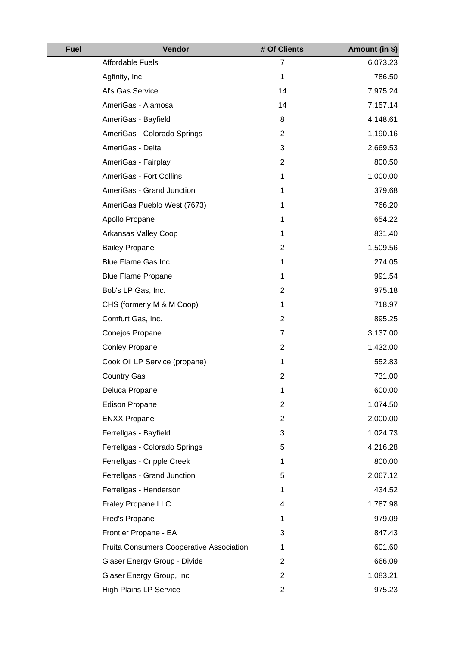| <b>Fuel</b> | <b>Vendor</b>                            | # Of Clients   | Amount (in \$) |
|-------------|------------------------------------------|----------------|----------------|
|             | Affordable Fuels                         | 7              | 6,073.23       |
|             | Agfinity, Inc.                           | 1              | 786.50         |
|             | Al's Gas Service                         | 14             | 7,975.24       |
|             | AmeriGas - Alamosa                       | 14             | 7,157.14       |
|             | AmeriGas - Bayfield                      | 8              | 4,148.61       |
|             | AmeriGas - Colorado Springs              | $\overline{2}$ | 1,190.16       |
|             | AmeriGas - Delta                         | 3              | 2,669.53       |
|             | AmeriGas - Fairplay                      | $\overline{2}$ | 800.50         |
|             | AmeriGas - Fort Collins                  | 1              | 1,000.00       |
|             | AmeriGas - Grand Junction                | 1              | 379.68         |
|             | AmeriGas Pueblo West (7673)              | 1              | 766.20         |
|             | Apollo Propane                           | 1              | 654.22         |
|             | Arkansas Valley Coop                     | 1              | 831.40         |
|             | <b>Bailey Propane</b>                    | $\overline{2}$ | 1,509.56       |
|             | <b>Blue Flame Gas Inc</b>                | 1              | 274.05         |
|             | <b>Blue Flame Propane</b>                | 1              | 991.54         |
|             | Bob's LP Gas, Inc.                       | $\overline{2}$ | 975.18         |
|             | CHS (formerly M & M Coop)                | 1              | 718.97         |
|             | Comfurt Gas, Inc.                        | 2              | 895.25         |
|             | Conejos Propane                          | $\overline{7}$ | 3,137.00       |
|             | <b>Conley Propane</b>                    | $\overline{2}$ | 1,432.00       |
|             | Cook Oil LP Service (propane)            | 1              | 552.83         |
|             | <b>Country Gas</b>                       | $\mathbf{2}$   | 731.00         |
|             | Deluca Propane                           | 1              | 600.00         |
|             | <b>Edison Propane</b>                    | $\overline{c}$ | 1,074.50       |
|             | <b>ENXX Propane</b>                      | $\overline{2}$ | 2,000.00       |
|             | Ferrellgas - Bayfield                    | 3              | 1,024.73       |
|             | Ferrellgas - Colorado Springs            | 5              | 4,216.28       |
|             | Ferrellgas - Cripple Creek               | 1              | 800.00         |
|             | Ferrellgas - Grand Junction              | 5              | 2,067.12       |
|             | Ferrellgas - Henderson                   | 1              | 434.52         |
|             | Fraley Propane LLC                       | 4              | 1,787.98       |
|             | Fred's Propane                           | 1              | 979.09         |
|             | Frontier Propane - EA                    | 3              | 847.43         |
|             | Fruita Consumers Cooperative Association | 1              | 601.60         |
|             | Glaser Energy Group - Divide             | $\overline{2}$ | 666.09         |
|             | Glaser Energy Group, Inc                 | $\mathbf{2}$   | 1,083.21       |
|             | <b>High Plains LP Service</b>            | $\overline{c}$ | 975.23         |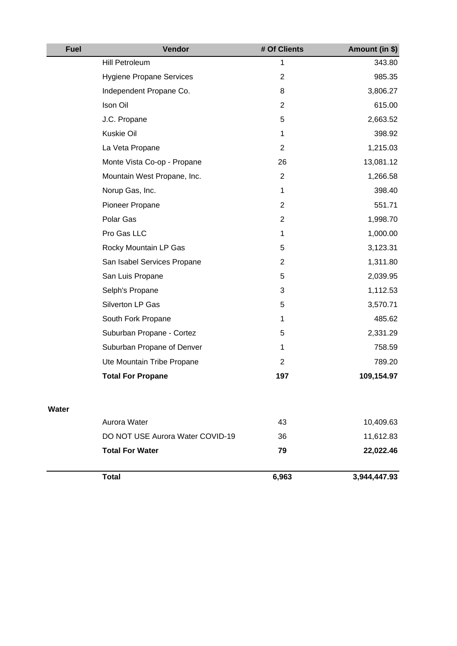| <b>Fuel</b> | Vendor                           | # Of Clients   | Amount (in \$) |
|-------------|----------------------------------|----------------|----------------|
|             | Hill Petroleum                   | 1              | 343.80         |
|             | <b>Hygiene Propane Services</b>  | $\overline{2}$ | 985.35         |
|             | Independent Propane Co.          | 8              | 3,806.27       |
|             | Ison Oil                         | $\overline{2}$ | 615.00         |
|             | J.C. Propane                     | 5              | 2,663.52       |
|             | Kuskie Oil                       | $\mathbf 1$    | 398.92         |
|             | La Veta Propane                  | $\overline{2}$ | 1,215.03       |
|             | Monte Vista Co-op - Propane      | 26             | 13,081.12      |
|             | Mountain West Propane, Inc.      | $\overline{2}$ | 1,266.58       |
|             | Norup Gas, Inc.                  | $\mathbf{1}$   | 398.40         |
|             | Pioneer Propane                  | $\overline{2}$ | 551.71         |
|             | Polar Gas                        | $\mathbf{2}$   | 1,998.70       |
|             | Pro Gas LLC                      | 1              | 1,000.00       |
|             | Rocky Mountain LP Gas            | 5              | 3,123.31       |
|             | San Isabel Services Propane      | $\overline{2}$ | 1,311.80       |
|             | San Luis Propane                 | 5              | 2,039.95       |
|             | Selph's Propane                  | 3              | 1,112.53       |
|             | Silverton LP Gas                 | 5              | 3,570.71       |
|             | South Fork Propane               | 1              | 485.62         |
|             | Suburban Propane - Cortez        | 5              | 2,331.29       |
|             | Suburban Propane of Denver       | 1              | 758.59         |
|             | Ute Mountain Tribe Propane       | $\overline{2}$ | 789.20         |
|             | <b>Total For Propane</b>         | 197            | 109,154.97     |
| Water       |                                  |                |                |
|             | Aurora Water                     | 43             | 10,409.63      |
|             | DO NOT USE Aurora Water COVID-19 | 36             | 11,612.83      |
|             | <b>Total For Water</b>           | 79             | 22,022.46      |
|             | <b>Total</b>                     | 6,963          | 3,944,447.93   |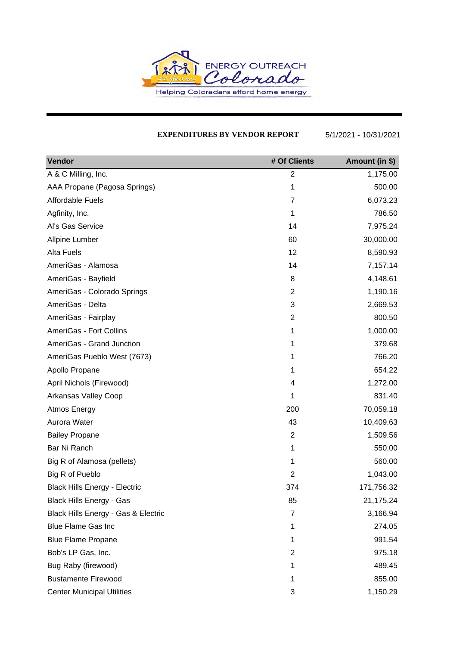

#### **EXPENDITURES BY VENDOR REPORT** 5/1/2021 - 10/31/2021

| Vendor                               | # Of Clients   | Amount (in \$) |
|--------------------------------------|----------------|----------------|
| A & C Milling, Inc.                  | $\overline{2}$ | 1,175.00       |
| AAA Propane (Pagosa Springs)         | 1              | 500.00         |
| <b>Affordable Fuels</b>              | $\overline{7}$ | 6,073.23       |
| Agfinity, Inc.                       | 1              | 786.50         |
| Al's Gas Service                     | 14             | 7,975.24       |
| Allpine Lumber                       | 60             | 30,000.00      |
| <b>Alta Fuels</b>                    | 12             | 8,590.93       |
| AmeriGas - Alamosa                   | 14             | 7,157.14       |
| AmeriGas - Bayfield                  | 8              | 4,148.61       |
| AmeriGas - Colorado Springs          | $\overline{2}$ | 1,190.16       |
| AmeriGas - Delta                     | 3              | 2,669.53       |
| AmeriGas - Fairplay                  | $\overline{2}$ | 800.50         |
| AmeriGas - Fort Collins              | 1              | 1,000.00       |
| AmeriGas - Grand Junction            | 1              | 379.68         |
| AmeriGas Pueblo West (7673)          | 1              | 766.20         |
| Apollo Propane                       | 1              | 654.22         |
| April Nichols (Firewood)             | 4              | 1,272.00       |
| Arkansas Valley Coop                 | 1              | 831.40         |
| Atmos Energy                         | 200            | 70,059.18      |
| Aurora Water                         | 43             | 10,409.63      |
| <b>Bailey Propane</b>                | $\overline{2}$ | 1,509.56       |
| Bar Ni Ranch                         | 1              | 550.00         |
| Big R of Alamosa (pellets)           | 1              | 560.00         |
| Big R of Pueblo                      | $\overline{2}$ | 1,043.00       |
| <b>Black Hills Energy - Electric</b> | 374            | 171,756.32     |
| Black Hills Energy - Gas             | 85             | 21,175.24      |
| Black Hills Energy - Gas & Electric  | $\overline{7}$ | 3,166.94       |
| <b>Blue Flame Gas Inc</b>            | 1              | 274.05         |
| <b>Blue Flame Propane</b>            | 1              | 991.54         |
| Bob's LP Gas, Inc.                   | 2              | 975.18         |
| Bug Raby (firewood)                  | 1              | 489.45         |
| <b>Bustamente Firewood</b>           | 1              | 855.00         |
| <b>Center Municipal Utilities</b>    | 3              | 1,150.29       |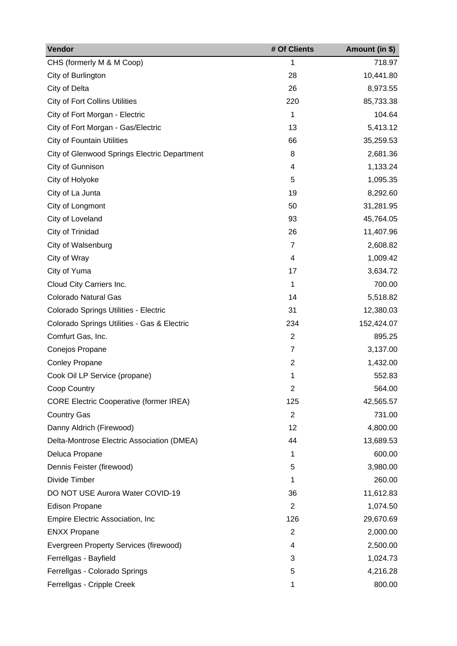| Vendor                                         | # Of Clients   | Amount (in \$) |
|------------------------------------------------|----------------|----------------|
| CHS (formerly M & M Coop)                      | 1              | 718.97         |
| City of Burlington                             | 28             | 10,441.80      |
| City of Delta                                  | 26             | 8,973.55       |
| <b>City of Fort Collins Utilities</b>          | 220            | 85,733.38      |
| City of Fort Morgan - Electric                 | 1              | 104.64         |
| City of Fort Morgan - Gas/Electric             | 13             | 5,413.12       |
| <b>City of Fountain Utilities</b>              | 66             | 35,259.53      |
| City of Glenwood Springs Electric Department   | 8              | 2,681.36       |
| City of Gunnison                               | 4              | 1,133.24       |
| City of Holyoke                                | 5              | 1,095.35       |
| City of La Junta                               | 19             | 8,292.60       |
| City of Longmont                               | 50             | 31,281.95      |
| City of Loveland                               | 93             | 45,764.05      |
| City of Trinidad                               | 26             | 11,407.96      |
| City of Walsenburg                             | $\overline{7}$ | 2,608.82       |
| City of Wray                                   | 4              | 1,009.42       |
| City of Yuma                                   | 17             | 3,634.72       |
| Cloud City Carriers Inc.                       | 1              | 700.00         |
| <b>Colorado Natural Gas</b>                    | 14             | 5,518.82       |
| Colorado Springs Utilities - Electric          | 31             | 12,380.03      |
| Colorado Springs Utilities - Gas & Electric    | 234            | 152,424.07     |
| Comfurt Gas, Inc.                              | $\overline{2}$ | 895.25         |
| Conejos Propane                                | $\overline{7}$ | 3,137.00       |
| <b>Conley Propane</b>                          | $\overline{2}$ | 1,432.00       |
| Cook Oil LP Service (propane)                  | 1              | 552.83         |
| Coop Country                                   | 2              | 564.00         |
| <b>CORE Electric Cooperative (former IREA)</b> | 125            | 42,565.57      |
| <b>Country Gas</b>                             | $\overline{2}$ | 731.00         |
| Danny Aldrich (Firewood)                       | 12             | 4,800.00       |
| Delta-Montrose Electric Association (DMEA)     | 44             | 13,689.53      |
| Deluca Propane                                 | 1              | 600.00         |
| Dennis Feister (firewood)                      | 5              | 3,980.00       |
| Divide Timber                                  | 1              | 260.00         |
| DO NOT USE Aurora Water COVID-19               | 36             | 11,612.83      |
| <b>Edison Propane</b>                          | $\overline{2}$ | 1,074.50       |
| Empire Electric Association, Inc.              | 126            | 29,670.69      |
| <b>ENXX Propane</b>                            | $\overline{2}$ | 2,000.00       |
| Evergreen Property Services (firewood)         | 4              | 2,500.00       |
| Ferrellgas - Bayfield                          | 3              | 1,024.73       |
| Ferrellgas - Colorado Springs                  | 5              | 4,216.28       |
| Ferrellgas - Cripple Creek                     | 1              | 800.00         |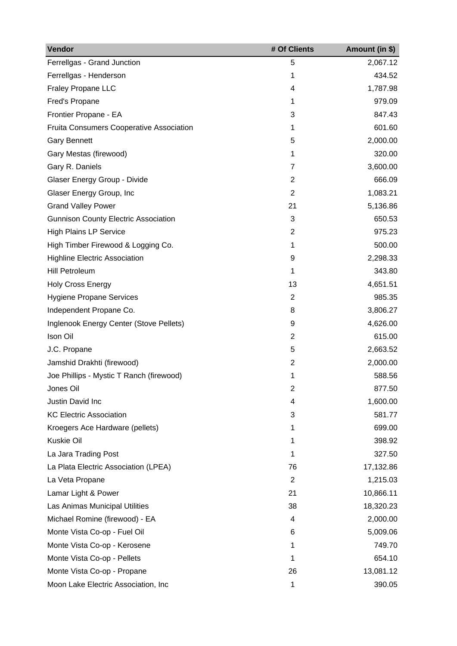| Vendor                                          | # Of Clients   | Amount (in \$) |
|-------------------------------------------------|----------------|----------------|
| Ferrellgas - Grand Junction                     | 5              | 2,067.12       |
| Ferrellgas - Henderson                          | 1              | 434.52         |
| <b>Fraley Propane LLC</b>                       | 4              | 1,787.98       |
| Fred's Propane                                  | 1              | 979.09         |
| Frontier Propane - EA                           | 3              | 847.43         |
| <b>Fruita Consumers Cooperative Association</b> | 1              | 601.60         |
| <b>Gary Bennett</b>                             | 5              | 2,000.00       |
| Gary Mestas (firewood)                          | 1              | 320.00         |
| Gary R. Daniels                                 | 7              | 3,600.00       |
| Glaser Energy Group - Divide                    | $\overline{2}$ | 666.09         |
| Glaser Energy Group, Inc                        | $\overline{2}$ | 1,083.21       |
| <b>Grand Valley Power</b>                       | 21             | 5,136.86       |
| <b>Gunnison County Electric Association</b>     | 3              | 650.53         |
| <b>High Plains LP Service</b>                   | $\overline{2}$ | 975.23         |
| High Timber Firewood & Logging Co.              | 1              | 500.00         |
| <b>Highline Electric Association</b>            | 9              | 2,298.33       |
| <b>Hill Petroleum</b>                           | 1              | 343.80         |
| <b>Holy Cross Energy</b>                        | 13             | 4,651.51       |
| <b>Hygiene Propane Services</b>                 | 2              | 985.35         |
| Independent Propane Co.                         | 8              | 3,806.27       |
| Inglenook Energy Center (Stove Pellets)         | 9              | 4,626.00       |
| Ison Oil                                        | $\overline{2}$ | 615.00         |
| J.C. Propane                                    | 5              | 2,663.52       |
| Jamshid Drakhti (firewood)                      | $\overline{2}$ | 2,000.00       |
| Joe Phillips - Mystic T Ranch (firewood)        | 1              | 588.56         |
| Jones Oil                                       | 2              | 877.50         |
| Justin David Inc                                | 4              | 1,600.00       |
| <b>KC Electric Association</b>                  | 3              | 581.77         |
| Kroegers Ace Hardware (pellets)                 | 1              | 699.00         |
| Kuskie Oil                                      | 1              | 398.92         |
| La Jara Trading Post                            | 1              | 327.50         |
| La Plata Electric Association (LPEA)            | 76             | 17,132.86      |
| La Veta Propane                                 | $\overline{2}$ | 1,215.03       |
| Lamar Light & Power                             | 21             | 10,866.11      |
| Las Animas Municipal Utilities                  | 38             | 18,320.23      |
| Michael Romine (firewood) - EA                  | 4              | 2,000.00       |
| Monte Vista Co-op - Fuel Oil                    | 6              | 5,009.06       |
| Monte Vista Co-op - Kerosene                    | 1              | 749.70         |
| Monte Vista Co-op - Pellets                     | 1              | 654.10         |
| Monte Vista Co-op - Propane                     | 26             | 13,081.12      |
| Moon Lake Electric Association, Inc             | 1              | 390.05         |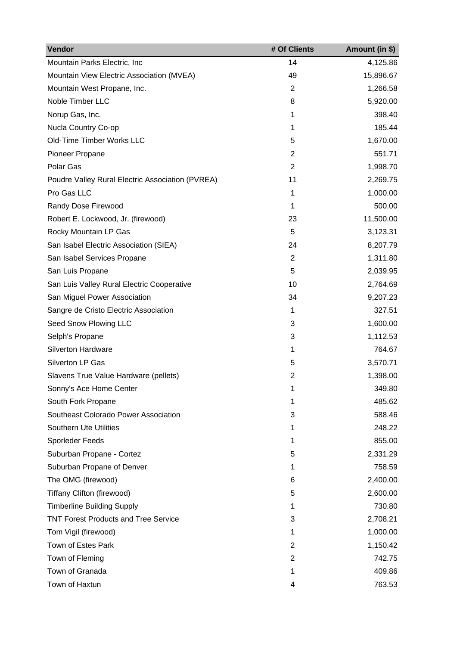| Vendor                                           | # Of Clients   | Amount (in \$) |
|--------------------------------------------------|----------------|----------------|
| Mountain Parks Electric, Inc                     | 14             | 4,125.86       |
| Mountain View Electric Association (MVEA)        | 49             | 15,896.67      |
| Mountain West Propane, Inc.                      | $\overline{2}$ | 1,266.58       |
| Noble Timber LLC                                 | 8              | 5,920.00       |
| Norup Gas, Inc.                                  | 1              | 398.40         |
| Nucla Country Co-op                              | 1              | 185.44         |
| Old-Time Timber Works LLC                        | 5              | 1,670.00       |
| Pioneer Propane                                  | $\overline{2}$ | 551.71         |
| Polar Gas                                        | $\overline{2}$ | 1,998.70       |
| Poudre Valley Rural Electric Association (PVREA) | 11             | 2,269.75       |
| Pro Gas LLC                                      | 1              | 1,000.00       |
| Randy Dose Firewood                              | 1              | 500.00         |
| Robert E. Lockwood, Jr. (firewood)               | 23             | 11,500.00      |
| Rocky Mountain LP Gas                            | 5              | 3,123.31       |
| San Isabel Electric Association (SIEA)           | 24             | 8,207.79       |
| San Isabel Services Propane                      | $\overline{2}$ | 1,311.80       |
| San Luis Propane                                 | 5              | 2,039.95       |
| San Luis Valley Rural Electric Cooperative       | 10             | 2,764.69       |
| San Miguel Power Association                     | 34             | 9,207.23       |
| Sangre de Cristo Electric Association            | 1              | 327.51         |
| Seed Snow Plowing LLC                            | 3              | 1,600.00       |
| Selph's Propane                                  | 3              | 1,112.53       |
| <b>Silverton Hardware</b>                        | 1              | 764.67         |
| Silverton LP Gas                                 | 5              | 3,570.71       |
| Slavens True Value Hardware (pellets)            | $\overline{2}$ | 1,398.00       |
| Sonny's Ace Home Center                          |                | 349.80         |
| South Fork Propane                               | 1              | 485.62         |
| Southeast Colorado Power Association             | 3              | 588.46         |
| <b>Southern Ute Utilities</b>                    | 1              | 248.22         |
| Sporleder Feeds                                  | 1              | 855.00         |
| Suburban Propane - Cortez                        | 5              | 2,331.29       |
| Suburban Propane of Denver                       | 1              | 758.59         |
| The OMG (firewood)                               | 6              | 2,400.00       |
| Tiffany Clifton (firewood)                       | 5              | 2,600.00       |
| <b>Timberline Building Supply</b>                | 1              | 730.80         |
| <b>TNT Forest Products and Tree Service</b>      | 3              | 2,708.21       |
| Tom Vigil (firewood)                             | 1              | 1,000.00       |
| Town of Estes Park                               | 2              | 1,150.42       |
| Town of Fleming                                  | $\overline{2}$ | 742.75         |
| Town of Granada                                  | 1              | 409.86         |
| Town of Haxtun                                   | 4              | 763.53         |